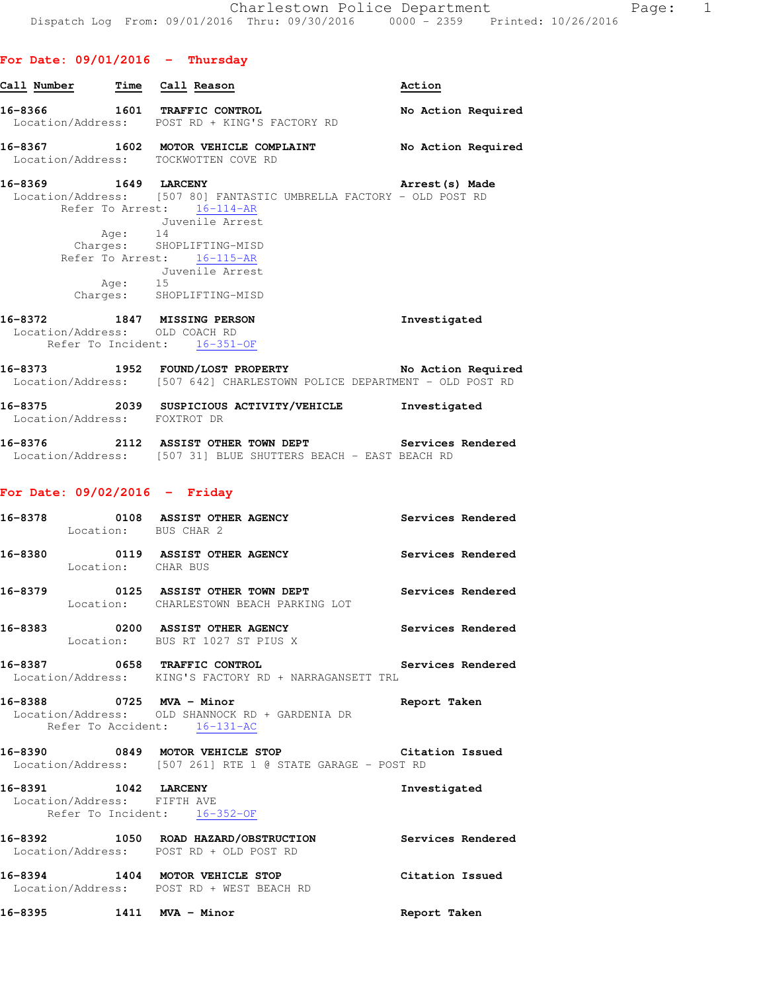|  |  | For Date: 09/01/2016 |  |  | Thursday |
|--|--|----------------------|--|--|----------|
|--|--|----------------------|--|--|----------|

| Call Number |                    | Time Call Reason                                                                                                                                                                                                                | Action             |
|-------------|--------------------|---------------------------------------------------------------------------------------------------------------------------------------------------------------------------------------------------------------------------------|--------------------|
|             |                    | 16-8366 1601 TRAFFIC CONTROL<br>Location/Address: POST RD + KING'S FACTORY RD                                                                                                                                                   | No Action Required |
|             |                    | 16-8367 1602 MOTOR VEHICLE COMPLAINT<br>Location/Address: TOCKWOTTEN COVE RD                                                                                                                                                    | No Action Required |
|             |                    | 16-8369 1649 LARCENY                                                                                                                                                                                                            | Arrest(s) Made     |
|             | Age: 14<br>Age: 15 | Location/Address: [507 80] FANTASTIC UMBRELLA FACTORY - OLD POST RD<br>Refer To Arrest: 16-114-AR<br>Juvenile Arrest<br>Charges: SHOPLIFTING-MISD<br>Refer To Arrest: 16-115-AR<br>Juvenile Arrest<br>Charges: SHOPLIFTING-MISD |                    |
|             |                    | 16-8372 1847 MISSING PERSON<br>Location/Address: OLD COACH RD<br>Refer To Incident: 16-351-OF                                                                                                                                   | Investigated       |
|             |                    | 16-8373 1952 FOUND/LOST PROPERTY<br>Location/Address: [507 642] CHARLESTOWN POLICE DEPARTMENT - OLD POST RD                                                                                                                     | No Action Required |

| 16-8375<br>Location/Address: | 2039 | SUSPICIOUS ACTIVITY/VEHICLE<br>FOXTROT DR | Investigated      |
|------------------------------|------|-------------------------------------------|-------------------|
| 16-8376                      | 2112 | ASSIST OTHER TOWN DEPT                    | Services Rendered |

| 16-8376           |  |  | ZIIZ ASSIST OTHER TOWN DEPT                  |  |  | Services Rendered |
|-------------------|--|--|----------------------------------------------|--|--|-------------------|
| Location/Address: |  |  | [507 31] BLUE SHUTTERS BEACH - EAST BEACH RD |  |  |                   |

### **For Date: 09/02/2016 - Friday**

|                          | 16-8378 		 0108 ASSIST OTHER AGENCY 		 Services Rendered<br>Location: BUS CHAR 2                              |                   |
|--------------------------|---------------------------------------------------------------------------------------------------------------|-------------------|
| Location: CHAR BUS       | 16-8380   0119   ASSIST OTHER AGENCY                                                                          | Services Rendered |
|                          | 16-8379 		 0125 ASSIST OTHER TOWN DEPT Services Rendered<br>Location: CHARLESTOWN BEACH PARKING LOT           |                   |
|                          | 16-8383 0200 ASSIST OTHER AGENCY Services Rendered<br>Location: BUS RT 1027 ST PIUS X                         |                   |
|                          | 16-8387 0658 TRAFFIC CONTROL 2000 Services Rendered<br>Location/Address: KING'S FACTORY RD + NARRAGANSETT TRL |                   |
| 16-8388 0725 MVA - Minor | Report Taken<br>Location/Address: OLD SHANNOCK RD + GARDENIA DR<br>Refer To Accident: 16-131-AC               |                   |
|                          | 16-8390 0849 MOTOR VEHICLE STOP Citation Issued<br>Location/Address: [507 261] RTE 1 @ STATE GARAGE - POST RD |                   |
| 16-8391 1042 LARCENY     | Location/Address: FIFTH AVE<br>Refer To Incident: 16-352-OF                                                   | Investigated      |
|                          | 16-8392 1050 ROAD HAZARD/OBSTRUCTION Services Rendered<br>Location/Address: POST RD + OLD POST RD             |                   |
|                          | 16-8394 1404 MOTOR VEHICLE STOP<br>Location/Address: POST RD + WEST BEACH RD                                  | Citation Issued   |
| 16-8395 1411 MVA - Minor |                                                                                                               | Report Taken      |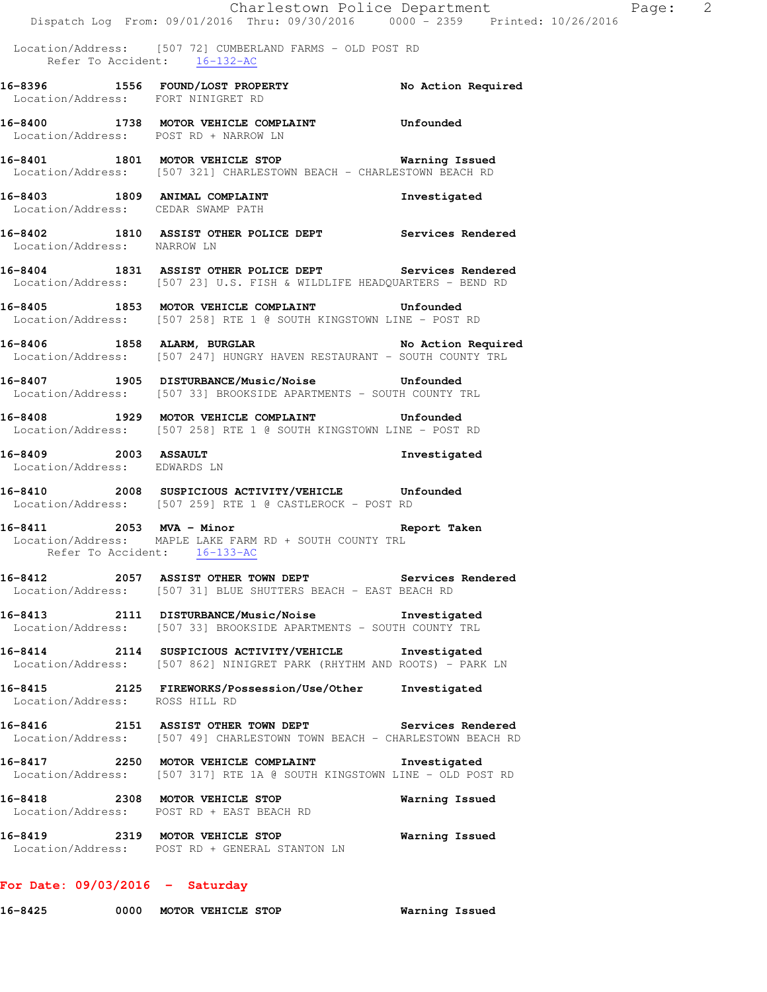|                                                      |                                                                                                                                           | Charlestown Police Department | Page: 2 |  |
|------------------------------------------------------|-------------------------------------------------------------------------------------------------------------------------------------------|-------------------------------|---------|--|
|                                                      | Dispatch Log From: 09/01/2016 Thru: 09/30/2016 0000 - 2359 Printed: 10/26/2016                                                            |                               |         |  |
|                                                      | Location/Address: [507 72] CUMBERLAND FARMS - OLD POST RD<br>Refer To Accident: 16-132-AC                                                 |                               |         |  |
| Location/Address: FORT NINIGRET RD                   | 16-8396 1556 FOUND/LOST PROPERTY No Action Required                                                                                       |                               |         |  |
| Location/Address: POST RD + NARROW LN                | 16-8400 1738 MOTOR VEHICLE COMPLAINT Unfounded                                                                                            |                               |         |  |
|                                                      | 16-8401 1801 MOTOR VEHICLE STOP <b>WATER</b> Warning Issued<br>Location/Address: [507 321] CHARLESTOWN BEACH - CHARLESTOWN BEACH RD       |                               |         |  |
| Location/Address: CEDAR SWAMP PATH                   | 16-8403 1809 ANIMAL COMPLAINT                                                                                                             | Investigated                  |         |  |
| Location/Address: NARROW LN                          | 16-8402 1810 ASSIST OTHER POLICE DEPT Services Rendered                                                                                   |                               |         |  |
|                                                      | 16-8404 1831 ASSIST OTHER POLICE DEPT Services Rendered<br>Location/Address: [507 23] U.S. FISH & WILDLIFE HEADQUARTERS - BEND RD         |                               |         |  |
|                                                      | 16-8405 1853 MOTOR VEHICLE COMPLAINT Unfounded<br>Location/Address: [507 258] RTE 1 @ SOUTH KINGSTOWN LINE - POST RD                      |                               |         |  |
|                                                      | 16-8406 1858 ALARM, BURGLAR No Action Required<br>Location/Address: [507 247] HUNGRY HAVEN RESTAURANT - SOUTH COUNTY TRL                  |                               |         |  |
|                                                      | 16-8407 1905 DISTURBANCE/Music/Noise Unfounded<br>Location/Address: [507 33] BROOKSIDE APARTMENTS - SOUTH COUNTY TRL                      |                               |         |  |
|                                                      | 16-8408 1929 MOTOR VEHICLE COMPLAINT Unfounded<br>Location/Address: [507 258] RTE 1 @ SOUTH KINGSTOWN LINE - POST RD                      |                               |         |  |
| 16-8409 2003 ASSAULT<br>Location/Address: EDWARDS LN |                                                                                                                                           | Investigated                  |         |  |
|                                                      | 16-8410 2008 SUSPICIOUS ACTIVITY/VEHICLE Unfounded<br>Location/Address: [507 259] RTE 1 @ CASTLEROCK - POST RD                            |                               |         |  |
| Refer To Accident: 16-133-AC                         | 16-8411 2053 MVA - Minor<br>Location/Address: MAPLE LAKE FARM RD + SOUTH COUNTY TRL                                                       | Report Taken                  |         |  |
|                                                      | 16-8412 2057 ASSIST OTHER TOWN DEPT Services Rendered<br>Location/Address: [507 31] BLUE SHUTTERS BEACH - EAST BEACH RD                   |                               |         |  |
|                                                      | 16-8413 2111 DISTURBANCE/Music/Noise Investigated<br>Location/Address: [507 33] BROOKSIDE APARTMENTS - SOUTH COUNTY TRL                   |                               |         |  |
|                                                      | 16-8414 2114 SUSPICIOUS ACTIVITY/VEHICLE Investigated<br>Location/Address: [507 862] NINIGRET PARK (RHYTHM AND ROOTS) - PARK LN           |                               |         |  |
| Location/Address: ROSS HILL RD                       | 16-8415 2125 FIREWORKS/Possession/Use/Other                                                                                               | Investigated                  |         |  |
|                                                      | 16-8416 			 2151 ASSIST OTHER TOWN DEPT 			 Services Rendered<br>Location/Address: [507 49] CHARLESTOWN TOWN BEACH - CHARLESTOWN BEACH RD |                               |         |  |
|                                                      | 16-8417 2250 MOTOR VEHICLE COMPLAINT<br>Location/Address: [507 317] RTE 1A @ SOUTH KINGSTOWN LINE - OLD POST RD                           | Investigated                  |         |  |
|                                                      | 16-8418 2308 MOTOR VEHICLE STOP<br>Location/Address: POST RD + EAST BEACH RD                                                              | Warning Issued                |         |  |
|                                                      | 16-8419 2319 MOTOR VEHICLE STOP<br>Location/Address: POST RD + GENERAL STANTON LN                                                         | Warning Issued                |         |  |
|                                                      |                                                                                                                                           |                               |         |  |

# **For Date: 09/03/2016 - Saturday**

**16-8425 0000 MOTOR VEHICLE STOP Warning Issued**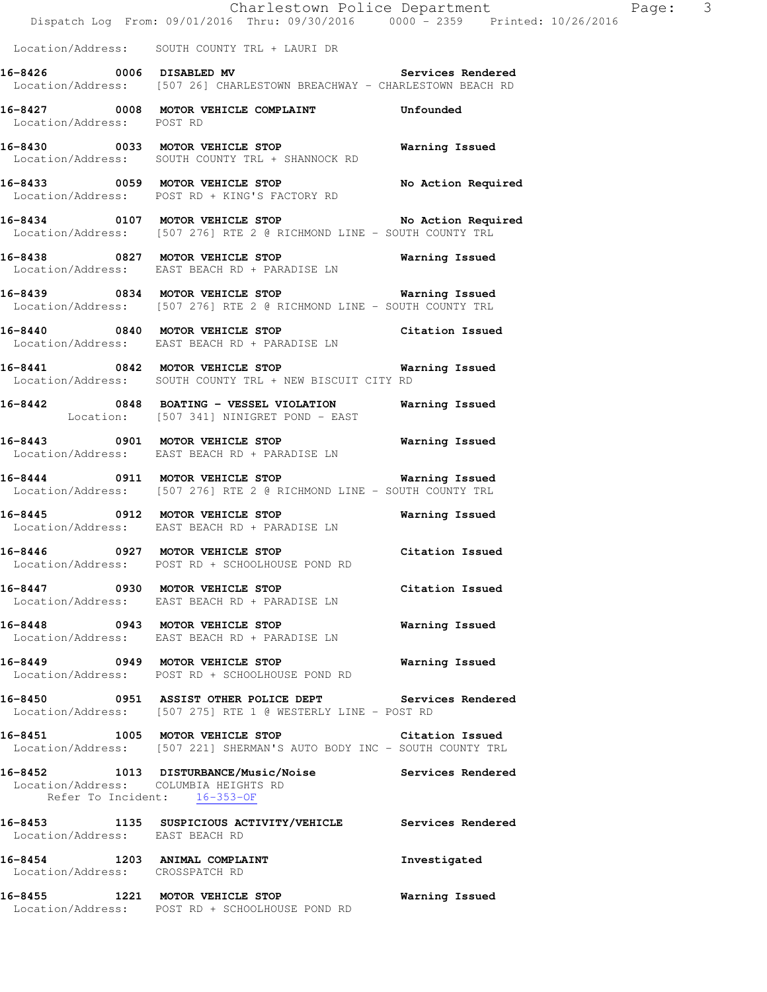Location/Address: SOUTH COUNTY TRL + LAURI DR

**16-8426 0006 DISABLED MV Services Rendered**  Location/Address: [507 26] CHARLESTOWN BREACHWAY - CHARLESTOWN BEACH RD

**16-8427 0008 MOTOR VEHICLE COMPLAINT Unfounded**  Location/Address: POST RD

**16-8430 0033 MOTOR VEHICLE STOP Warning Issued**  Location/Address: SOUTH COUNTY TRL + SHANNOCK RD

**16-8433 0059 MOTOR VEHICLE STOP No Action Required**  Location/Address: POST RD + KING'S FACTORY RD

**16-8434 0107 MOTOR VEHICLE STOP No Action Required**  Location/Address: [507 276] RTE 2 @ RICHMOND LINE - SOUTH COUNTY TRL

**16-8438 0827 MOTOR VEHICLE STOP Warning Issued**  Location/Address: EAST BEACH RD + PARADISE LN

**16-8439 0834 MOTOR VEHICLE STOP Warning Issued**  Location/Address: [507 276] RTE 2 @ RICHMOND LINE - SOUTH COUNTY TRL

**16-8440 0840 MOTOR VEHICLE STOP Citation Issued**  Location/Address: EAST BEACH RD + PARADISE LN

**16-8441 0842 MOTOR VEHICLE STOP Warning Issued**  Location/Address: SOUTH COUNTY TRL + NEW BISCUIT CITY RD

**16-8442 0848 BOATING - VESSEL VIOLATION Warning Issued**  Location: [507 341] NINIGRET POND - EAST

**16-8443 0901 MOTOR VEHICLE STOP Warning Issued**  Location/Address: EAST BEACH RD + PARADISE LN

**16-8444 0911 MOTOR VEHICLE STOP Warning Issued**  Location/Address: [507 276] RTE 2 @ RICHMOND LINE - SOUTH COUNTY TRL

**16-8445 0912 MOTOR VEHICLE STOP Warning Issued**  Location/Address: EAST BEACH RD + PARADISE LN

**16-8446 0927 MOTOR VEHICLE STOP Citation Issued**  Location/Address: POST RD + SCHOOLHOUSE POND RD

**16-8447 0930 MOTOR VEHICLE STOP Citation Issued**  Location/Address: EAST BEACH RD + PARADISE LN

**16-8448 0943 MOTOR VEHICLE STOP Warning Issued**  Location/Address: EAST BEACH RD + PARADISE LN

**16-8449 0949 MOTOR VEHICLE STOP Warning Issued**  Location/Address: POST RD + SCHOOLHOUSE POND RD

**16-8450 0951 ASSIST OTHER POLICE DEPT Services Rendered**  Location/Address: [507 275] RTE 1 @ WESTERLY LINE - POST RD

**16-8451 1005 MOTOR VEHICLE STOP Citation Issued**  Location/Address: [507 221] SHERMAN'S AUTO BODY INC - SOUTH COUNTY TRL

**16-8452 1013 DISTURBANCE/Music/Noise Services Rendered**  Location/Address: COLUMBIA HEIGHTS RD Refer To Incident: 16-353-OF

**16-8453 1135 SUSPICIOUS ACTIVITY/VEHICLE Services Rendered**  Location/Address: EAST BEACH RD

**16-8454 1203 ANIMAL COMPLAINT Investigated**  Location/Address: CROSSPATCH RD

**16-8455 1221 MOTOR VEHICLE STOP Warning Issued**  Location/Address: POST RD + SCHOOLHOUSE POND RD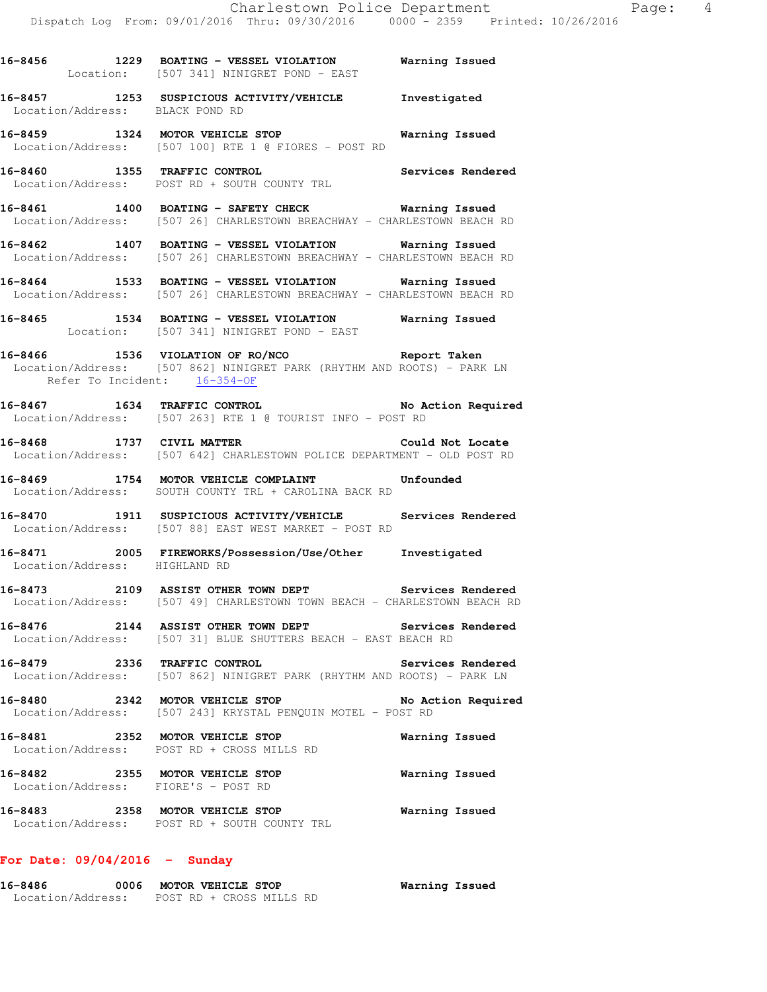|         |                               | 16-8456 1229 BOATING - VESSEL VIOLATION Warning Issued<br>Location: [507 341] NINIGRET POND - EAST                                                      |                    |
|---------|-------------------------------|---------------------------------------------------------------------------------------------------------------------------------------------------------|--------------------|
|         |                               | 16-8457 1253 SUSPICIOUS ACTIVITY/VEHICLE Investigated<br>Location/Address: BLACK POND RD                                                                |                    |
|         |                               | 16-8459 1324 MOTOR VEHICLE STOP 6 Warning Issued<br>Location/Address: [507 100] RTE 1 @ FIORES - POST RD                                                |                    |
|         |                               | 16-8460 1355 TRAFFIC CONTROL                                                                                                                            | Services Rendered  |
|         |                               | 16-8461 1400 BOATING - SAFETY CHECK Warning Issued<br>Location/Address: [507 26] CHARLESTOWN BREACHWAY - CHARLESTOWN BEACH RD                           |                    |
|         |                               | 16-8462 1407 BOATING - VESSEL VIOLATION Warning Issued<br>Location/Address: [507 26] CHARLESTOWN BREACHWAY - CHARLESTOWN BEACH RD                       |                    |
|         |                               | 16-8464 1533 BOATING - VESSEL VIOLATION Warning Issued<br>Location/Address: [507 26] CHARLESTOWN BREACHWAY - CHARLESTOWN BEACH RD                       |                    |
|         |                               | 16-8465 1534 BOATING - VESSEL VIOLATION Warning Issued<br>Location: [507 341] NINIGRET POND - EAST                                                      |                    |
|         |                               | 16-8466 1536 VIOLATION OF RO/NCO Report Taken<br>Location/Address: [507 862] NINIGRET PARK (RHYTHM AND ROOTS) - PARK LN<br>Refer To Incident: 16-354-OF |                    |
|         |                               | 16-8467 1634 TRAFFIC CONTROL No Action Required<br>Location/Address: [507 263] RTE 1 @ TOURIST INFO - POST RD                                           |                    |
|         |                               | 16-8468 1737 CIVIL MATTER<br>Location/Address: [507 642] CHARLESTOWN POLICE DEPARTMENT - OLD POST RD                                                    | Could Not Locate   |
|         |                               | 16-8469 1754 MOTOR VEHICLE COMPLAINT Unfounded<br>Location/Address: SOUTH COUNTY TRL + CAROLINA BACK RD                                                 |                    |
|         |                               | 16-8470 1911 SUSPICIOUS ACTIVITY/VEHICLE Services Rendered<br>Location/Address: [507 88] EAST WEST MARKET - POST RD                                     |                    |
|         | Location/Address: HIGHLAND RD | 16-8471 2005 FIREWORKS/Possession/Use/Other Investigated                                                                                                |                    |
|         |                               | 16-8473 2109 ASSIST OTHER TOWN DEPT Services Rendered<br>Location/Address: [507 49] CHARLESTOWN TOWN BEACH - CHARLESTOWN BEACH RD                       |                    |
| 16-8476 |                               | 2144 ASSIST OTHER TOWN DEPT<br>Location/Address: [507 31] BLUE SHUTTERS BEACH - EAST BEACH RD                                                           | Services Rendered  |
|         |                               | 16-8479 2336 TRAFFIC CONTROL Services Rendered Location/Address: [507 862] NINIGRET PARK (RHYTHM AND ROOTS) - PARK LN                                   | Services Rendered  |
|         |                               | 16-8480<br>Location/Address: [507 243] KRYSTAL PENQUIN MOTEL - POST RD                                                                                  | No Action Required |
|         |                               | 16-8481 2352 MOTOR VEHICLE STOP<br>Location/Address: POST RD + CROSS MILLS RD                                                                           | Warning Issued     |
|         |                               | 16-8482 2355 MOTOR VEHICLE STOP<br>Location/Address: FIORE'S - POST RD                                                                                  | Warning Issued     |
|         |                               | 16-8483 2358 MOTOR VEHICLE STOP<br>Location/Address: POST RD + SOUTH COUNTY TRL                                                                         | Warning Issued     |

# **For Date: 09/04/2016 - Sunday**

| 16-8486<br>0006   | <b>MOTOR VEHICLE STOP</b> | Warning Issued |
|-------------------|---------------------------|----------------|
| Location/Address: | POST RD + CROSS MILLS RD  |                |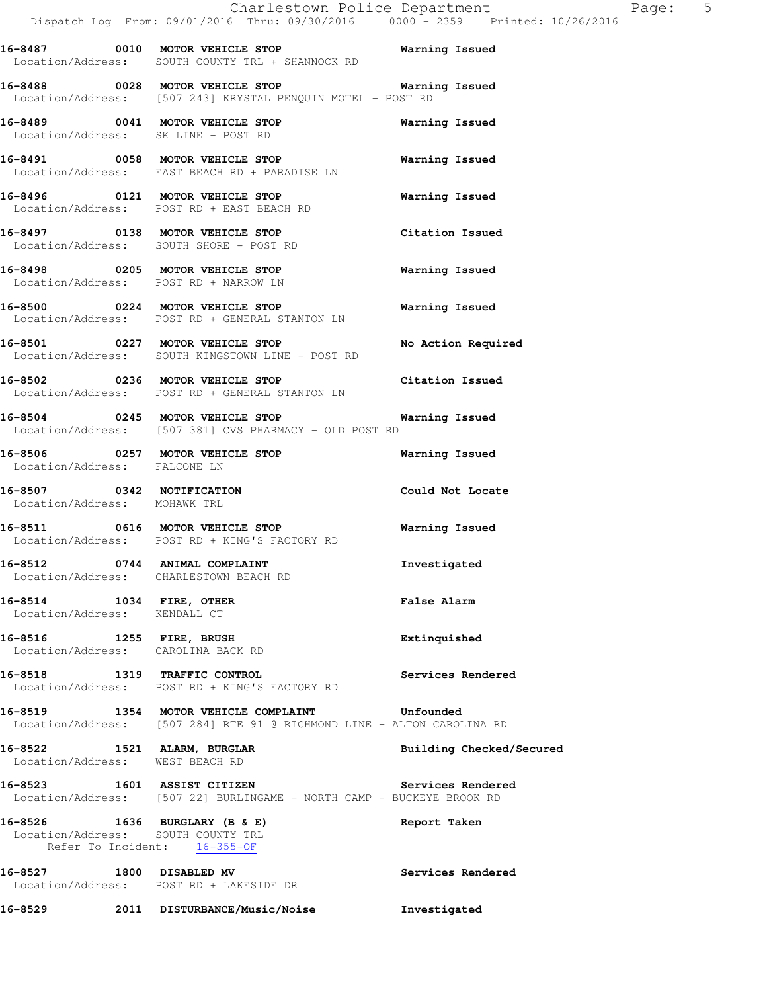**16-8487 0010 MOTOR VEHICLE STOP Warning Issued**  Location/Address: SOUTH COUNTY TRL + SHANNOCK RD

**16-8488 0028 MOTOR VEHICLE STOP Warning Issued**  Location/Address: [507 243] KRYSTAL PENQUIN MOTEL - POST RD

**16-8489 0041 MOTOR VEHICLE STOP Warning Issued**  Location/Address: SK LINE - POST RD

**16-8491 0058 MOTOR VEHICLE STOP Warning Issued**  Location/Address: EAST BEACH RD + PARADISE LN

**16-8496 0121 MOTOR VEHICLE STOP Warning Issued**  Location/Address: POST RD + EAST BEACH RD

**16-8497 0138 MOTOR VEHICLE STOP Citation Issued**  Location/Address: SOUTH SHORE - POST RD

**16-8498 0205 MOTOR VEHICLE STOP Warning Issued**  Location/Address: POST RD + NARROW LN

**16-8500 0224 MOTOR VEHICLE STOP Warning Issued**  Location/Address: POST RD + GENERAL STANTON LN

**16-8501 0227 MOTOR VEHICLE STOP No Action Required**  Location/Address: SOUTH KINGSTOWN LINE - POST RD

**16-8502 0236 MOTOR VEHICLE STOP Citation Issued**  Location/Address: POST RD + GENERAL STANTON LN

**16-8504 0245 MOTOR VEHICLE STOP Warning Issued**  Location/Address: [507 381] CVS PHARMACY - OLD POST RD

**16-8506 0257 MOTOR VEHICLE STOP Warning Issued**  Location/Address: FALCONE LN

**16-8507 0342 NOTIFICATION Could Not Locate**  Location/Address: MOHAWK TRL

**16-8511 0616 MOTOR VEHICLE STOP Warning Issued**  Location/Address: POST RD + KING'S FACTORY RD

**16-8512 0744 ANIMAL COMPLAINT Investigated**  Location/Address: CHARLESTOWN BEACH RD

**16-8514 1034 FIRE, OTHER False Alarm**  Location/Address: KENDALL CT

**16-8516 1255 FIRE, BRUSH Extinquished**  Location/Address: CAROLINA BACK RD

**16-8518 1319 TRAFFIC CONTROL Services Rendered**  Location/Address: POST RD + KING'S FACTORY RD

**16-8519 1354 MOTOR VEHICLE COMPLAINT Unfounded**  Location/Address: [507 284] RTE 91 @ RICHMOND LINE - ALTON CAROLINA RD

**16-8522 1521 ALARM, BURGLAR Building Checked/Secured**  Location/Address: WEST BEACH RD

**16-8523 1601 ASSIST CITIZEN Services Rendered**  Location/Address: [507 22] BURLINGAME - NORTH CAMP - BUCKEYE BROOK RD

**16-8526 1636 BURGLARY (B & E) Report Taken**  Location/Address: SOUTH COUNTY TRL Refer To Incident: 16-355-OF

**16-8527 1800 DISABLED MV Services Rendered**  Location/Address: POST RD + LAKESIDE DR

**16-8529 2011 DISTURBANCE/Music/Noise Investigated**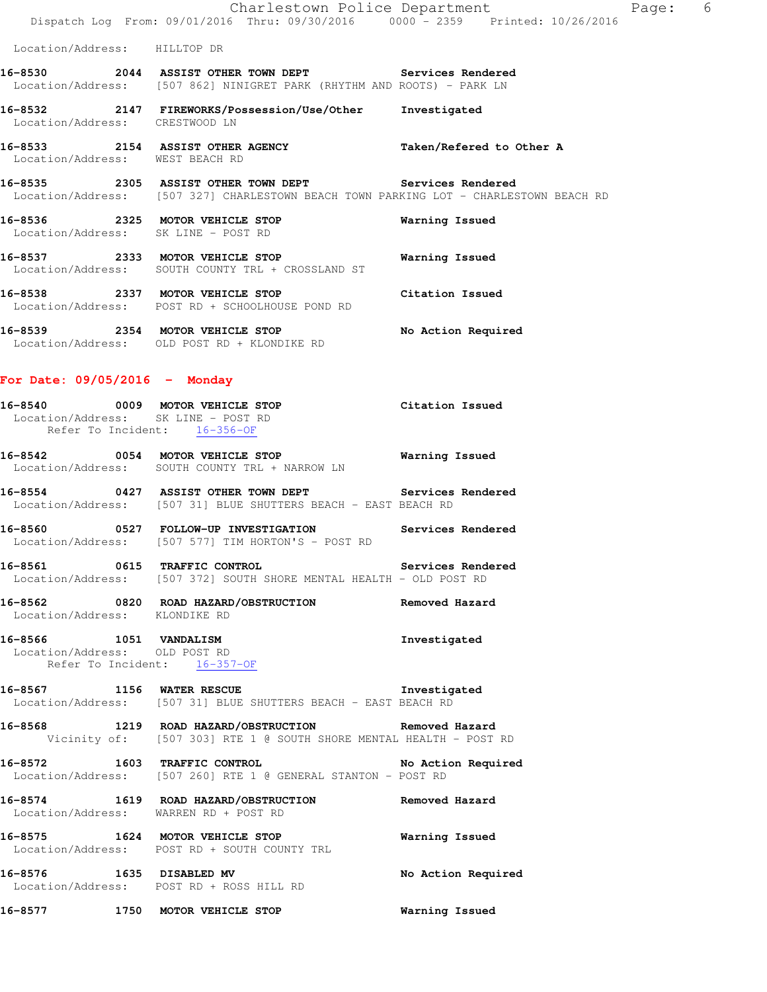|                                                                        | Charlestown Police Department                                                                                                                  |                          | Page: | 6 |
|------------------------------------------------------------------------|------------------------------------------------------------------------------------------------------------------------------------------------|--------------------------|-------|---|
|                                                                        | Dispatch Log From: 09/01/2016 Thru: 09/30/2016 0000 - 2359 Printed: 10/26/2016                                                                 |                          |       |   |
| Location/Address: HILLTOP DR                                           |                                                                                                                                                |                          |       |   |
|                                                                        | 16-8530 2044 ASSIST OTHER TOWN DEPT Services Rendered<br>Location/Address: [507 862] NINIGRET PARK (RHYTHM AND ROOTS) - PARK LN                |                          |       |   |
| Location/Address: CRESTWOOD LN                                         | 16-8532 2147 FIREWORKS/Possession/Use/Other                                                                                                    | Investigated             |       |   |
| 16-8533 2154 ASSIST OTHER AGENCY<br>Location/Address: WEST BEACH RD    |                                                                                                                                                | Taken/Refered to Other A |       |   |
|                                                                        | 16-8535 2305 ASSIST OTHER TOWN DEPT Services Rendered<br>Location/Address: [507 327] CHARLESTOWN BEACH TOWN PARKING LOT - CHARLESTOWN BEACH RD |                          |       |   |
| 16-8536 2325 MOTOR VEHICLE STOP<br>Location/Address: SK LINE - POST RD |                                                                                                                                                | Warning Issued           |       |   |
| 16-8537 2333 MOTOR VEHICLE STOP                                        | Location/Address: SOUTH COUNTY TRL + CROSSLAND ST                                                                                              | Warning Issued           |       |   |
| 16-8538                                                                | 2337 MOTOR VEHICLE STOP<br>Location/Address: POST RD + SCHOOLHOUSE POND RD                                                                     | Citation Issued          |       |   |

**16-8539 2354 MOTOR VEHICLE STOP No Action Required**  Location/Address: OLD POST RD + KLONDIKE RD

### **For Date: 09/05/2016 - Monday**

|                               | 16-8540 0009 MOTOR VEHICLE STOP<br>Location/Address: SK LINE - POST RD<br>Refer To Incident: 16-356-OF                     | Citation Issued       |
|-------------------------------|----------------------------------------------------------------------------------------------------------------------------|-----------------------|
|                               | 16-8542 0054 MOTOR VEHICLE STOP 60 Warning Issued<br>Location/Address: SOUTH COUNTY TRL + NARROW LN                        |                       |
|                               | 16-8554 0427 ASSIST OTHER TOWN DEPT Services Rendered<br>Location/Address: [507 31] BLUE SHUTTERS BEACH - EAST BEACH RD    |                       |
|                               | 16-8560 0527 FOLLOW-UP INVESTIGATION Services Rendered<br>Location/Address: [507 577] TIM HORTON'S - POST RD               |                       |
|                               | 16-8561 0615 TRAFFIC CONTROL 2000 Services Rendered<br>Location/Address: [507 372] SOUTH SHORE MENTAL HEALTH - OLD POST RD |                       |
| Location/Address: KLONDIKE RD | 16-8562 0820 ROAD HAZARD/OBSTRUCTION Removed Hazard                                                                        |                       |
|                               | 16-8566 1051 VANDALISM<br>Location/Address: OLD POST RD<br>Refer To Incident: 16-357-OF                                    | Investigated          |
|                               | 16-8567 1156 WATER RESCUE 10 1nvestigated<br>Location/Address: [507 31] BLUE SHUTTERS BEACH - EAST BEACH RD                |                       |
|                               | 16-8568 1219 ROAD HAZARD/OBSTRUCTION Removed Hazard<br>Vicinity of: [507 303] RTE 1 @ SOUTH SHORE MENTAL HEALTH - POST RD  |                       |
|                               | 16-8572 1603 TRAFFIC CONTROL 16-8572<br>Location/Address: [507 260] RTE 1 @ GENERAL STANTON - POST RD                      |                       |
|                               | 16-8574 1619 ROAD HAZARD/OBSTRUCTION Removed Hazard<br>Location/Address: WARREN RD + POST RD                               |                       |
|                               | 16-8575 1624 MOTOR VEHICLE STOP<br>Location/Address: POST RD + SOUTH COUNTY TRL                                            | <b>Warning Issued</b> |
|                               | 16-8576 1635 DISABLED MV<br>Location/Address: POST RD + ROSS HILL RD                                                       | No Action Required    |
|                               | 16-8577 1750 MOTOR VEHICLE STOP                                                                                            | Warning Issued        |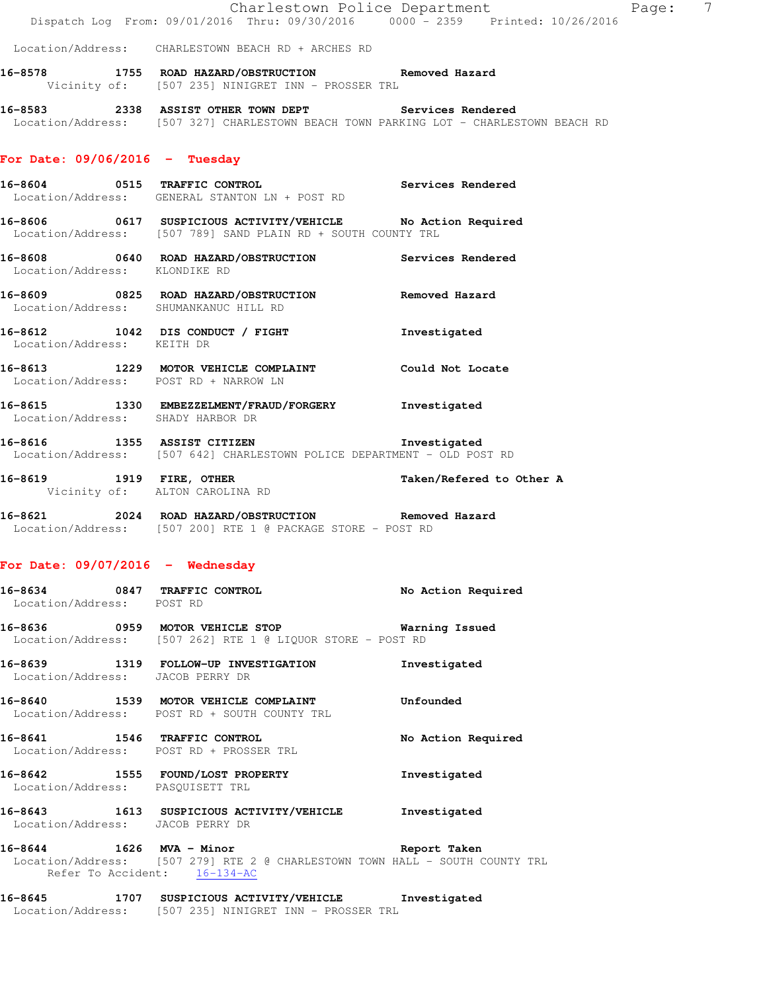|                                    | Dispatch Log From: 09/01/2016 Thru: 09/30/2016 0000 <sup>-</sup> 2359 Printed: 10/26/2016                                                                   | Charlestown Police Department Fage: | $\overline{7}$ |
|------------------------------------|-------------------------------------------------------------------------------------------------------------------------------------------------------------|-------------------------------------|----------------|
|                                    | Location/Address: CHARLESTOWN BEACH RD + ARCHES RD                                                                                                          |                                     |                |
|                                    | 16-8578 1755 ROAD HAZARD/OBSTRUCTION Removed Hazard<br>Vicinity of: [507 235] NINIGRET INN - PROSSER TRL                                                    |                                     |                |
|                                    | 16-8583 2338 ASSIST OTHER TOWN DEPT Services Rendered<br>Location/Address: [507 327] CHARLESTOWN BEACH TOWN PARKING LOT - CHARLESTOWN BEACH RD              |                                     |                |
| For Date: $09/06/2016$ - Tuesday   |                                                                                                                                                             |                                     |                |
|                                    | 16-8604 0515 TRAFFIC CONTROL Services Rendered<br>Location/Address: GENERAL STANTON LN + POST RD                                                            |                                     |                |
|                                    | 16-8606 0617 SUSPICIOUS ACTIVITY/VEHICLE No Action Required<br>Location/Address: [507 789] SAND PLAIN RD + SOUTH COUNTY TRL                                 |                                     |                |
| Location/Address: KLONDIKE RD      | 16-8608 0640 ROAD HAZARD/OBSTRUCTION Services Rendered                                                                                                      |                                     |                |
|                                    | 16-8609 0825 ROAD HAZARD/OBSTRUCTION Removed Hazard<br>Location/Address: SHUMANKANUC HILL RD                                                                |                                     |                |
| Location/Address: KEITH DR         | 16-8612 1042 DIS CONDUCT / FIGHT Threstigated                                                                                                               |                                     |                |
|                                    | 16-8613 1229 MOTOR VEHICLE COMPLAINT Could Not Locate<br>Location/Address: POST RD + NARROW LN                                                              |                                     |                |
| Location/Address: SHADY HARBOR DR  | 16-8615 1330 EMBEZZELMENT/FRAUD/FORGERY Investigated                                                                                                        |                                     |                |
|                                    | 16-8616 1355 ASSIST CITIZEN<br>Location/Address: [507 642] CHARLESTOWN POLICE DEPARTMENT - OLD POST RD                                                      | Investigated                        |                |
|                                    | 16-8619 1919 FIRE, OTHER<br>Vicinity of: ALTON CAROLINA RD                                                                                                  | Taken/Refered to Other A            |                |
|                                    | 16-8621 2024 ROAD HAZARD/OBSTRUCTION Removed Hazard<br>Location/Address: [507 200] RTE 1 @ PACKAGE STORE - POST RD                                          |                                     |                |
| For Date: $09/07/2016$ - Wednesday |                                                                                                                                                             |                                     |                |
| Location/Address: POST RD          | 16-8634 0847 TRAFFIC CONTROL                                                                                                                                | No Action Required                  |                |
|                                    | Location/Address: [507 262] RTE 1 @ LIQUOR STORE - POST RD                                                                                                  |                                     |                |
| Location/Address: JACOB PERRY DR   | 16-8639 1319 FOLLOW-UP INVESTIGATION                                                                                                                        | Investigated                        |                |
|                                    | 16-8640 1539 MOTOR VEHICLE COMPLAINT<br>Location/Address: POST RD + SOUTH COUNTY TRL                                                                        | Unfounded                           |                |
|                                    | 16-8641 1546 TRAFFIC CONTROL<br>Location/Address: POST RD + PROSSER TRL                                                                                     | No Action Required                  |                |
| Location/Address: PASQUISETT TRL   | 16-8642 1555 FOUND/LOST PROPERTY                                                                                                                            | Investigated                        |                |
| Location/Address: JACOB PERRY DR   | 16-8643 1613 SUSPICIOUS ACTIVITY/VEHICLE Investigated                                                                                                       |                                     |                |
|                                    | 16-8644 1626 MVA - Minor 168 Report Taken<br>Location/Address: [507 279] RTE 2 @ CHARLESTOWN TOWN HALL - SOUTH COUNTY TRL<br>Refer To Accident: $16-134-AC$ |                                     |                |
|                                    | 16-8645 1707 SUSPICIOUS ACTIVITY/VEHICLE Investigated<br>Location/Address: [507 235] NINIGRET INN - PROSSER TRL                                             |                                     |                |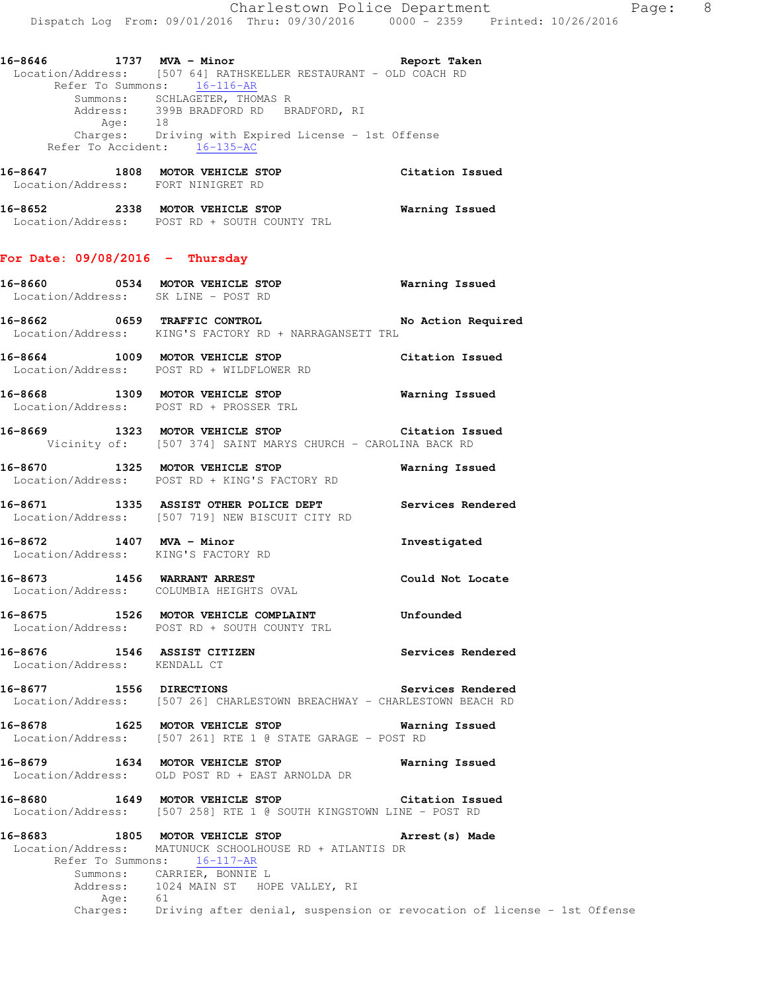**16-8647 1808 MOTOR VEHICLE STOP Citation Issued**  Location/Address: FORT NINIGRET RD

**16-8652 2338 MOTOR VEHICLE STOP Warning Issued**  Location/Address: POST RD + SOUTH COUNTY TRL

#### **For Date: 09/08/2016 - Thursday**

- **16-8660 0534 MOTOR VEHICLE STOP Warning Issued**  Location/Address: SK LINE - POST RD
- **16-8662 0659 TRAFFIC CONTROL No Action Required**  Location/Address: KING'S FACTORY RD + NARRAGANSETT TRL
- **16-8664 1009 MOTOR VEHICLE STOP Citation Issued**  Location/Address: POST RD + WILDFLOWER RD
- **16-8668 1309 MOTOR VEHICLE STOP Warning Issued**  Location/Address: POST RD + PROSSER TRL
- **16-8669 1323 MOTOR VEHICLE STOP Citation Issued**  Vicinity of: [507 374] SAINT MARYS CHURCH - CAROLINA BACK RD
- **16-8670 1325 MOTOR VEHICLE STOP Warning Issued**  Location/Address: POST RD + KING'S FACTORY RD
- **16-8671 1335 ASSIST OTHER POLICE DEPT Services Rendered**  Location/Address: [507 719] NEW BISCUIT CITY RD
- **16-8672 1407 MVA Minor Investigated**  Location/Address: KING'S FACTORY RD
- **16-8673 1456 WARRANT ARREST Could Not Locate**  Location/Address: COLUMBIA HEIGHTS OVAL
- **16-8675 1526 MOTOR VEHICLE COMPLAINT Unfounded**  Location/Address: POST RD + SOUTH COUNTY TRL
- **16-8676 1546 ASSIST CITIZEN Services Rendered**  Location/Address: KENDALL CT
- **16-8677 1556 DIRECTIONS Services Rendered**  Location/Address: [507 26] CHARLESTOWN BREACHWAY - CHARLESTOWN BEACH RD
- **16-8678 1625 MOTOR VEHICLE STOP Warning Issued**  Location/Address: [507 261] RTE 1 @ STATE GARAGE - POST RD
- **16-8679 1634 MOTOR VEHICLE STOP Warning Issued**  Location/Address: OLD POST RD + EAST ARNOLDA DR
- **16-8680 1649 MOTOR VEHICLE STOP Citation Issued**  Location/Address: [507 258] RTE 1 @ SOUTH KINGSTOWN LINE - POST RD
- **16-8683 1805 MOTOR VEHICLE STOP Arrest(s) Made**  Location/Address: MATUNUCK SCHOOLHOUSE RD + ATLANTIS DR Refer To Summons: 16-117-AR Summons: CARRIER, BONNIE L<br>Address: 1024 MAIN ST HOP 1024 MAIN ST HOPE VALLEY, RI Age: 61<br>Charges: Dr Driving after denial, suspension or revocation of license - 1st Offense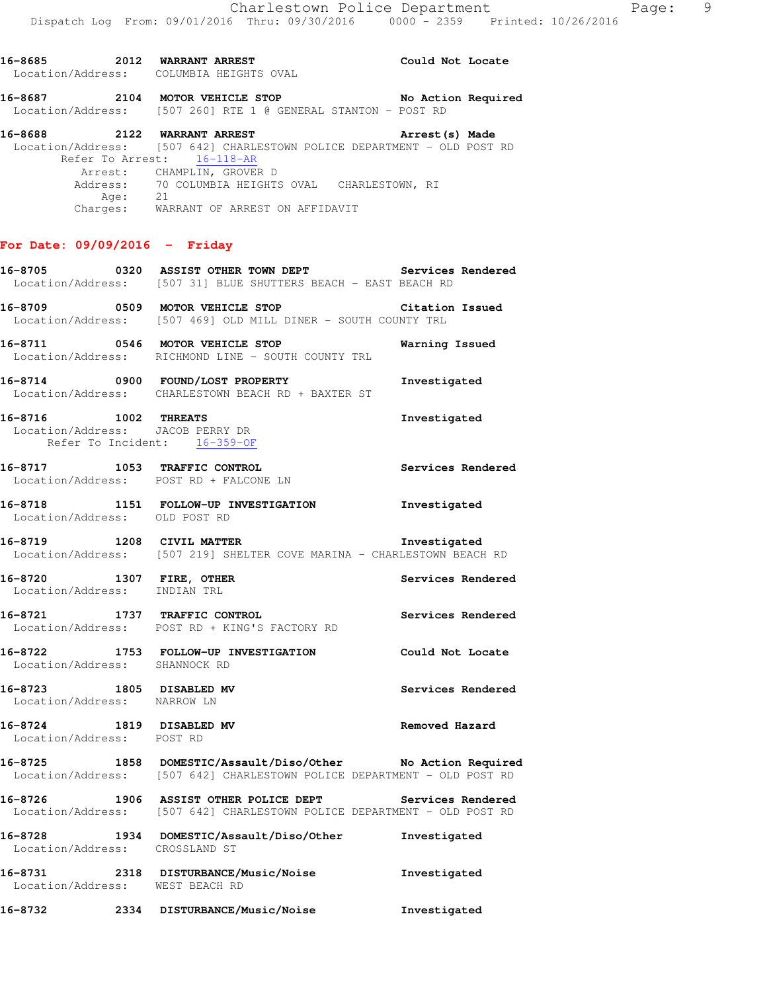**16-8685 2012 WARRANT ARREST Could Not Locate**  Location/Address: COLUMBIA HEIGHTS OVAL **16-8687 2104 MOTOR VEHICLE STOP No Action Required**  Location/Address: [507 260] RTE 1 @ GENERAL STANTON - POST RD **16-8688 2122 WARRANT ARREST Arrest(s) Made**  Location/Address: [507 642] CHARLESTOWN POLICE DEPARTMENT - OLD POST RD Refer To Arrest: 16-118-AR Arrest: CHAMPLIN, GROVER D Address: 70 COLUMBIA HEIGHTS OVAL CHARLESTOWN, RI<br>Ade: 21 Age: Charges: WARRANT OF ARREST ON AFFIDAVIT **For Date: 09/09/2016 - Friday**

- **16-8705 0320 ASSIST OTHER TOWN DEPT Services Rendered**  Location/Address: [507 31] BLUE SHUTTERS BEACH - EAST BEACH RD
- **16-8709 0509 MOTOR VEHICLE STOP Citation Issued**  Location/Address: [507 469] OLD MILL DINER - SOUTH COUNTY TRL
- **16-8711 0546 MOTOR VEHICLE STOP Warning Issued**  Location/Address: RICHMOND LINE - SOUTH COUNTY TRL
- **16-8714 0900 FOUND/LOST PROPERTY Investigated**  Location/Address: CHARLESTOWN BEACH RD + BAXTER ST
- **16-8716 1002 THREATS Investigated**  Location/Address: JACOB PERRY DR Refer To Incident: 16-359-OF
- **16-8717 1053 TRAFFIC CONTROL Services Rendered**  Location/Address: POST RD + FALCONE LN
- **16-8718 1151 FOLLOW-UP INVESTIGATION Investigated**  Location/Address: OLD POST RD
- **16-8719 1208 CIVIL MATTER Investigated**  Location/Address: [507 219] SHELTER COVE MARINA - CHARLESTOWN BEACH RD
- **16-8720 1307 FIRE, OTHER Services Rendered**  Location/Address: INDIAN TRL
- **16-8721 1737 TRAFFIC CONTROL Services Rendered**  Location/Address: POST RD + KING'S FACTORY RD
- **16-8722 1753 FOLLOW-UP INVESTIGATION Could Not Locate**  Location/Address: SHANNOCK RD
- **16-8723 1805 DISABLED MV Services Rendered**  Location/Address: NARROW LN
- **16-8724 1819 DISABLED MV Removed Hazard**  Location/Address: POST RD
- **16-8725 1858 DOMESTIC/Assault/Diso/Other No Action Required**  Location/Address: [507 642] CHARLESTOWN POLICE DEPARTMENT - OLD POST RD
- **16-8726 1906 ASSIST OTHER POLICE DEPT Services Rendered**  Location/Address: [507 642] CHARLESTOWN POLICE DEPARTMENT - OLD POST RD
- **16-8728 1934 DOMESTIC/Assault/Diso/Other Investigated**  Location/Address: CROSSLAND ST **16-8731 2318 DISTURBANCE/Music/Noise Investigated**  Location/Address: WEST BEACH RD
- **16-8732 2334 DISTURBANCE/Music/Noise Investigated**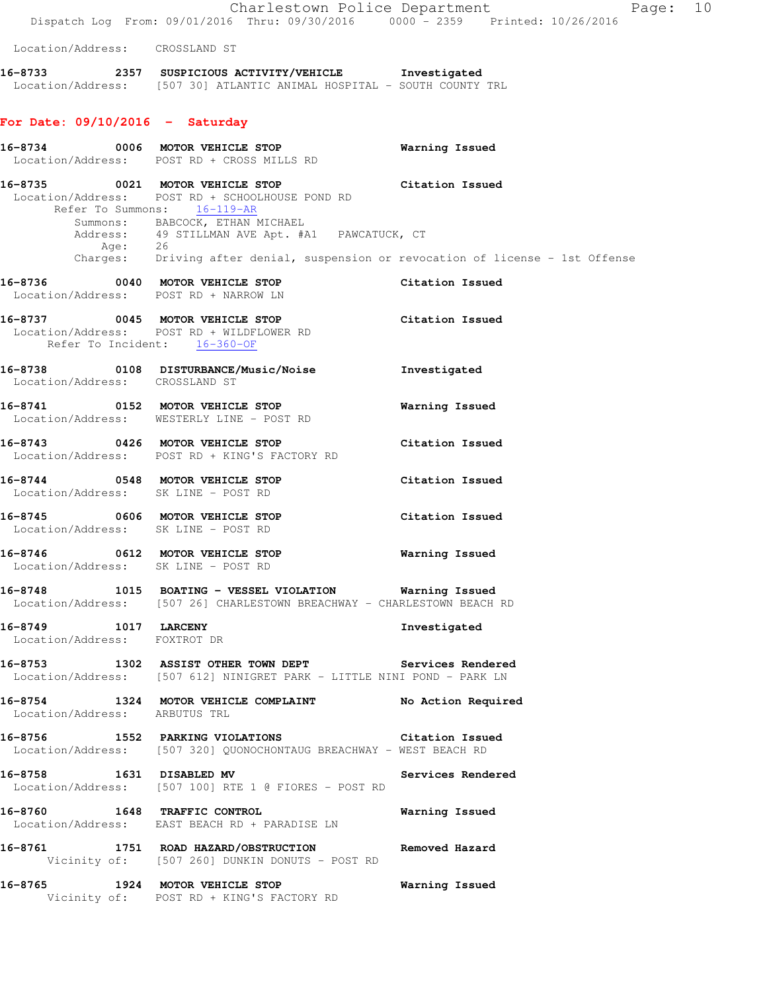|                                                                          | Dispatch Log From: 09/01/2016 Thru: 09/30/2016 0000 - 2359 Printed: 10/26/2016                                                                                                                                                                                                                      | Charlestown Police Department<br>Page: 10 |
|--------------------------------------------------------------------------|-----------------------------------------------------------------------------------------------------------------------------------------------------------------------------------------------------------------------------------------------------------------------------------------------------|-------------------------------------------|
| Location/Address: CROSSLAND ST                                           |                                                                                                                                                                                                                                                                                                     |                                           |
|                                                                          | 16-8733 2357 SUSPICIOUS ACTIVITY/VEHICLE Investigated<br>Location/Address: [507 30] ATLANTIC ANIMAL HOSPITAL - SOUTH COUNTY TRL                                                                                                                                                                     |                                           |
| For Date: $09/10/2016$ - Saturday                                        |                                                                                                                                                                                                                                                                                                     |                                           |
|                                                                          | 16-8734 0006 MOTOR VEHICLE STOP<br>Location/Address: POST RD + CROSS MILLS RD                                                                                                                                                                                                                       | Warning Issued                            |
|                                                                          | 16-8735 0021 MOTOR VEHICLE STOP<br>Location/Address: POST RD + SCHOOLHOUSE POND RD<br>Refer To Summons: 16-119-AR<br>Summons: BABCOCK, ETHAN MICHAEL<br>Address: 49 STILLMAN AVE Apt. #A1 PAWCATUCK, CT Age: 26<br>Charges: Driving after denial, suspension or revocation of license - 1st Offense | Citation Issued                           |
| 16-8736 0040 MOTOR VEHICLE STOP<br>Location/Address: POST RD + NARROW LN |                                                                                                                                                                                                                                                                                                     | Citation Issued                           |
| Refer To Incident: 16-360-OF                                             | 16-8737 0045 MOTOR VEHICLE STOP<br>Location/Address: POST RD + WILDFLOWER RD                                                                                                                                                                                                                        | Citation Issued                           |
| Location/Address: CROSSLAND ST                                           | 16-8738 0108 DISTURBANCE/Music/Noise                                                                                                                                                                                                                                                                | Investigated                              |
|                                                                          | 16-8741 0152 MOTOR VEHICLE STOP<br>Location/Address: WESTERLY LINE - POST RD                                                                                                                                                                                                                        | Warning Issued                            |
|                                                                          | 16-8743 0426 MOTOR VEHICLE STOP<br>Location/Address: POST RD + KING'S FACTORY RD                                                                                                                                                                                                                    | Citation Issued                           |
| 16-8744 0548 MOTOR VEHICLE STOP<br>Location/Address: SK LINE - POST RD   |                                                                                                                                                                                                                                                                                                     | Citation Issued                           |
| 16-8745 0606 MOTOR VEHICLE STOP<br>Location/Address: SK LINE - POST RD   |                                                                                                                                                                                                                                                                                                     | Citation Issued                           |
| 16-8746<br>Location/Address: SK LINE - POST RD                           | 0612 MOTOR VEHICLE STOP                                                                                                                                                                                                                                                                             | Warning Issued                            |
|                                                                          | 16-8748 1015 BOATING - VESSEL VIOLATION Warning Issued<br>Location/Address: [507 26] CHARLESTOWN BREACHWAY - CHARLESTOWN BEACH RD                                                                                                                                                                   |                                           |
| 16-8749 1017 LARCENY<br>Location/Address: FOXTROT DR                     |                                                                                                                                                                                                                                                                                                     | Investigated                              |
|                                                                          | 16-8753 1302 ASSIST OTHER TOWN DEPT Services Rendered<br>Location/Address: [507 612] NINIGRET PARK - LITTLE NINI POND - PARK LN                                                                                                                                                                     |                                           |
|                                                                          | 16-8754 1324 MOTOR VEHICLE COMPLAINT No Action Required Location/Address: ARBUTUS TRL                                                                                                                                                                                                               |                                           |
|                                                                          | 16-8756 1552 PARKING VIOLATIONS Citation Issued<br>Location/Address: [507 320] QUONOCHONTAUG BREACHWAY - WEST BEACH RD                                                                                                                                                                              |                                           |
| 16-8758 1631 DISABLED MV                                                 | Location/Address: [507 100] RTE 1 @ FIORES - POST RD                                                                                                                                                                                                                                                | Services Rendered                         |
|                                                                          | 16-8760 1648 TRAFFIC CONTROL<br>Location/Address: EAST BEACH RD + PARADISE LN                                                                                                                                                                                                                       | Warning Issued                            |
|                                                                          | 16-8761 1751 ROAD HAZARD/OBSTRUCTION Removed Hazard<br>Vicinity of: [507 260] DUNKIN DONUTS - POST RD                                                                                                                                                                                               |                                           |
|                                                                          | 16-8765 1924 MOTOR VEHICLE STOP<br>Vicinity of: POST RD + KING'S FACTORY RD                                                                                                                                                                                                                         | Warning Issued                            |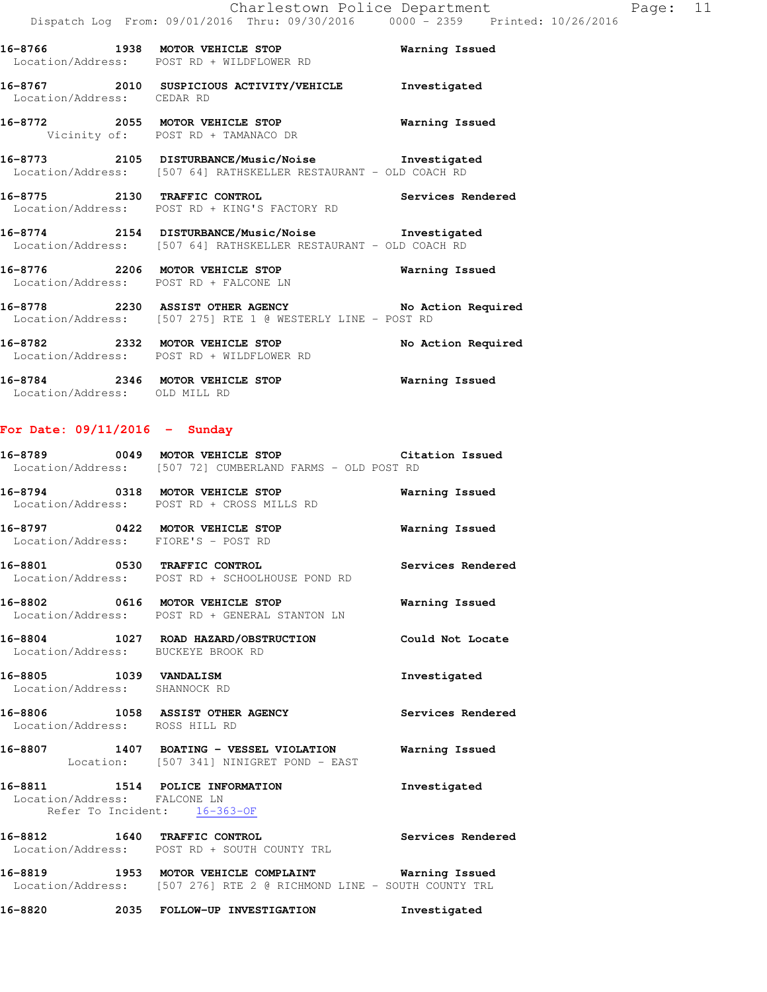|                               | 16-8766 1938 MOTOR VEHICLE STOP<br>Location/Address: POST RD + WILDFLOWER RD                                          | <b>Warning Issued</b> |
|-------------------------------|-----------------------------------------------------------------------------------------------------------------------|-----------------------|
| Location/Address: CEDAR RD    | 16-8767 2010 SUSPICIOUS ACTIVITY/VEHICLE Investigated                                                                 |                       |
|                               | 16-8772 2055 MOTOR VEHICLE STOP 6 Warning Issued<br>Vicinity of: POST RD + TAMANACO DR                                |                       |
|                               | 16-8773 2105 DISTURBANCE/Music/Noise Investigated<br>Location/Address: [507 64] RATHSKELLER RESTAURANT - OLD COACH RD |                       |
|                               | 16-8775 2130 TRAFFIC CONTROL 2008 Services Rendered<br>Location/Address: POST RD + KING'S FACTORY RD                  |                       |
|                               | 16-8774 2154 DISTURBANCE/Music/Noise Investigated<br>Location/Address: [507 64] RATHSKELLER RESTAURANT - OLD COACH RD |                       |
|                               | 16-8776 2206 MOTOR VEHICLE STOP<br>Location/Address: POST RD + FALCONE LN                                             | Warning Issued        |
|                               | 16-8778 2230 ASSIST OTHER AGENCY No Action Required<br>Location/Address: [507 275] RTE 1 @ WESTERLY LINE - POST RD    |                       |
|                               | 16-8782 2332 MOTOR VEHICLE STOP<br>Location/Address: POST RD + WILDFLOWER RD                                          | No Action Required    |
| Location/Address: OLD MILL RD | 16-8784 2346 MOTOR VEHICLE STOP                                                                                       | Warning Issued        |

**For Date: 09/11/2016 - Sunday**

|                                                              | 16-8789 		 0049 MOTOR VEHICLE STOP 		 Citation Issued<br>Location/Address: [507 72] CUMBERLAND FARMS - OLD POST RD                 |                |
|--------------------------------------------------------------|------------------------------------------------------------------------------------------------------------------------------------|----------------|
|                                                              | 16-8794 0318 MOTOR VEHICLE STOP<br>Location/Address: POST RD + CROSS MILLS RD                                                      | Warning Issued |
| Location/Address: FIORE'S - POST RD                          | 16-8797 0422 MOTOR VEHICLE STOP                                                                                                    | Warning Issued |
|                                                              | 16-8801 0530 TRAFFIC CONTROL CONTROL Services Rendered<br>Location/Address: POST RD + SCHOOLHOUSE POND RD                          |                |
|                                                              | 16-8802 0616 MOTOR VEHICLE STOP<br>Location/Address: POST RD + GENERAL STANTON LN                                                  | Warning Issued |
| Location/Address: BUCKEYE BROOK RD                           | 16-8804 1027 ROAD HAZARD/OBSTRUCTION Could Not Locate                                                                              |                |
| 16-8805 1039 VANDALISM<br>Location/Address: SHANNOCK RD      |                                                                                                                                    | Investigated   |
| Location/Address: ROSS HILL RD                               | 16-8806 1058 ASSIST OTHER AGENCY Services Rendered                                                                                 |                |
|                                                              | 16-8807 1407 BOATING - VESSEL VIOLATION Warning Issued<br>Location: [507 341] NINIGRET POND - EAST                                 |                |
| Location/Address: FALCONE LN<br>Refer To Incident: 16-363-OF | 16-8811 1514 POLICE INFORMATION                                                                                                    | Investigated   |
|                                                              | 16-8812 1640 TRAFFIC CONTROL 2000 Services Rendered<br>Location/Address: POST RD + SOUTH COUNTY TRL                                |                |
|                                                              | 16-8819 1953 MOTOR VEHICLE COMPLAINT <b>Warning Issued</b><br>Location/Address: [507 276] RTE 2 @ RICHMOND LINE - SOUTH COUNTY TRL |                |
|                                                              | 16-8820 2035 FOLLOW-UP INVESTIGATION                                                                                               | Investigated   |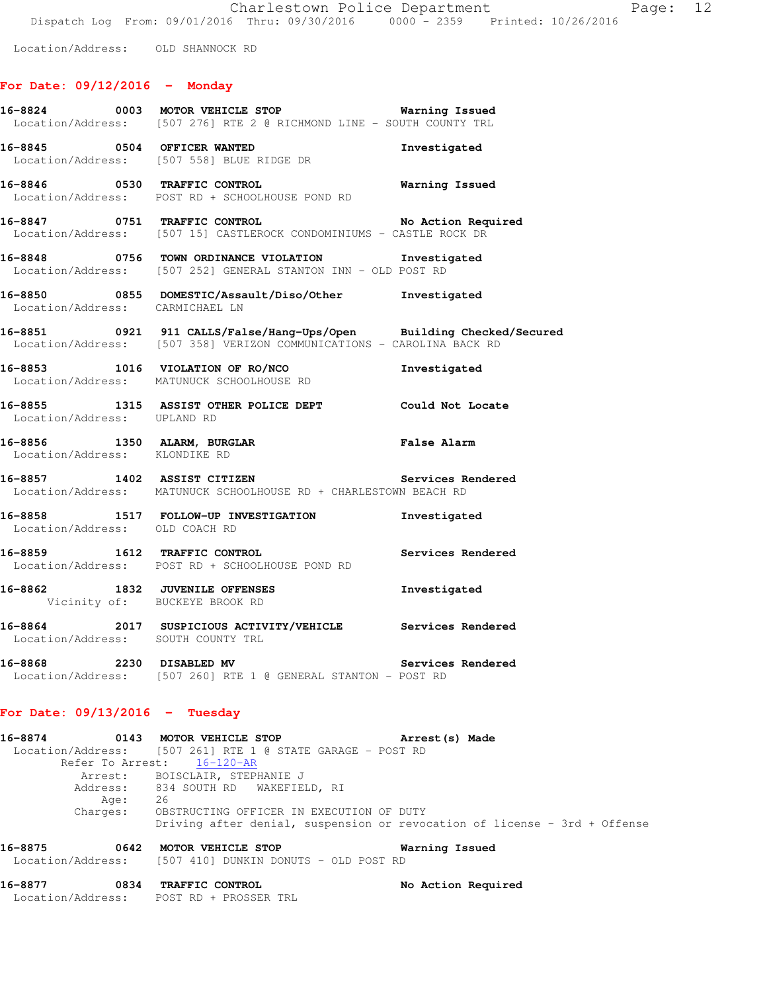Location/Address: OLD SHANNOCK RD

### **For Date: 09/12/2016 - Monday**

|                                                                 | Location/Address: [507 276] RTE 2 @ RICHMOND LINE - SOUTH COUNTY TRL                                                                         |                       |
|-----------------------------------------------------------------|----------------------------------------------------------------------------------------------------------------------------------------------|-----------------------|
| 16-8845 0504 OFFICER WANTED                                     | Location/Address: [507 558] BLUE RIDGE DR                                                                                                    | Investigated          |
|                                                                 | 16-8846 0530 TRAFFIC CONTROL<br>Location/Address: POST RD + SCHOOLHOUSE POND RD                                                              | <b>Warning Issued</b> |
|                                                                 | 16-8847 0751 TRAFFIC CONTROL No Action Requisition / Address: [507 15] CASTLEROCK CONDOMINIUMS - CASTLE ROCK DR                              | No Action Required    |
|                                                                 | 16-8848 0756 TOWN ORDINANCE VIOLATION Investigated<br>Location/Address: [507 252] GENERAL STANTON INN - OLD POST RD                          |                       |
|                                                                 | 16-8850 0855 DOMESTIC/Assault/Diso/Other Investigated<br>Location/Address: CARMICHAEL LN                                                     |                       |
|                                                                 | 16-8851 0921 911 CALLS/False/Hang-Ups/Open Building Checked/Secured<br>Location/Address: [507 358] VERIZON COMMUNICATIONS - CAROLINA BACK RD |                       |
|                                                                 | 16-8853 1016 VIOLATION OF RO/NCO DELITY DESCRIPTION OF RO/NOTE RD                                                                            |                       |
|                                                                 | 16-8855 1315 ASSIST OTHER POLICE DEPT Could Not Locate<br>Location/Address: UPLAND RD                                                        |                       |
| Location/Address: KLONDIKE RD                                   | 16-8856 1350 ALARM, BURGLAR 1999 1999 Palse Alarm                                                                                            |                       |
|                                                                 | 16-8857 1402 ASSIST CITIZEN Services Rendered<br>Location/Address: MATUNUCK SCHOOLHOUSE RD + CHARLESTOWN BEACH RD                            |                       |
| Location/Address: OLD COACH RD                                  | 16-8858 1517 FOLLOW-UP INVESTIGATION 1nvestigated                                                                                            |                       |
|                                                                 | 16-8859 1612 TRAFFIC CONTROL<br>Location/Address: POST RD + SCHOOLHOUSE POND RD                                                              | Services Rendered     |
| 16-8862 1832 JUVENILE OFFENSES<br>Vicinity of: BUCKEYE BROOK RD |                                                                                                                                              | Investigated          |
| Location/Address: SOUTH COUNTY TRL                              | 16-8864 2017 SUSPICIOUS ACTIVITY/VEHICLE Services Rendered                                                                                   |                       |
|                                                                 | 16-8868 2230 DISABLED MV <b>Services Rendered</b><br>Location/Address: [507 260] RTE 1 @ GENERAL STANTON - POST RD                           |                       |

#### **For Date: 09/13/2016 - Tuesday**

| 16-8874         | 0143 MOTOR VEHICLE STOP                                    | Arrest (s) Made                                                           |  |
|-----------------|------------------------------------------------------------|---------------------------------------------------------------------------|--|
|                 | Location/Address: [507 261] RTE 1 @ STATE GARAGE - POST RD |                                                                           |  |
|                 | Refer To Arrest: 16-120-AR                                 |                                                                           |  |
|                 | Arrest: BOISCLAIR, STEPHANIE J                             |                                                                           |  |
|                 | Address: 834 SOUTH RD WAKEFIELD, RI                        |                                                                           |  |
| Age:            | 26                                                         |                                                                           |  |
| Charges:        | OBSTRUCTING OFFICER IN EXECUTION OF DUTY                   |                                                                           |  |
|                 |                                                            | Driving after denial, suspension or revocation of license - 3rd + Offense |  |
| 16-8875<br>0642 | MOTOR VEHICLE STOP                                         | Warning Issued                                                            |  |
|                 | Location/Address: [507 410] DUNKIN DONUTS - OLD POST RD    |                                                                           |  |
|                 |                                                            |                                                                           |  |

**16-8877 0834 TRAFFIC CONTROL No Action Required**  Location/Address: POST RD + PROSSER TRL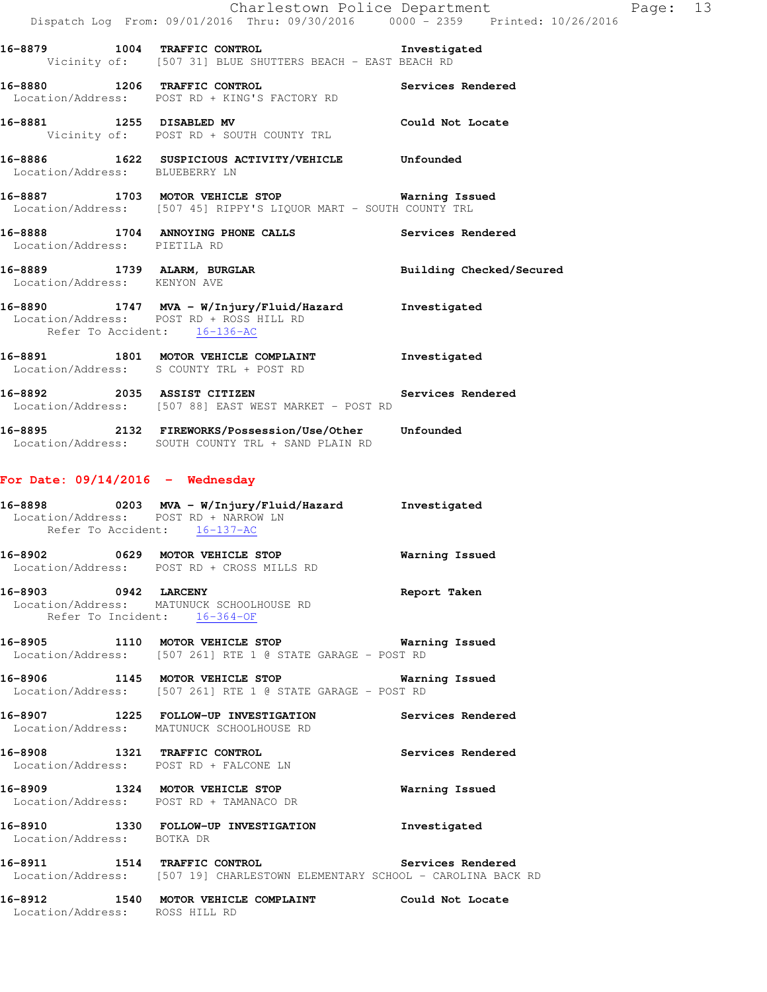|                                    | Charlestown Police Department<br>Dispatch Log From: 09/01/2016 Thru: 09/30/2016 0000 - 2359 Printed: 10/26/2016                   |                   |
|------------------------------------|-----------------------------------------------------------------------------------------------------------------------------------|-------------------|
|                                    | 16-8879 1004 TRAFFIC CONTROL                                                                                                      | Investigated      |
|                                    | Vicinity of: [507 31] BLUE SHUTTERS BEACH - EAST BEACH RD                                                                         |                   |
|                                    | 16-8880 1206 TRAFFIC CONTROL 10 Services Rendered<br>Location/Address: POST RD + KING'S FACTORY RD                                |                   |
| 16-8881 1255 DISABLED MV           | Vicinity of: POST RD + SOUTH COUNTY TRL                                                                                           | Could Not Locate  |
| Location/Address: BLUEBERRY LN     | 16-8886 1622 SUSPICIOUS ACTIVITY/VEHICLE Unfounded                                                                                |                   |
|                                    | 16-8887 1703 MOTOR VEHICLE STOP 6 Warning Issued<br>Location/Address: [507 45] RIPPY'S LIQUOR MART - SOUTH COUNTY TRL             |                   |
| Location/Address: PIETILA RD       | 16-8888 1704 ANNOYING PHONE CALLS Services Rendered                                                                               |                   |
| Location/Address: KENYON AVE       | 16-8889 1739 ALARM, BURGLAR <b>BURGLAR</b> Building Checked/Secured                                                               |                   |
|                                    | 16-8890 1747 MVA - W/Injury/Fluid/Hazard Investigated<br>Location/Address: POST RD + ROSS HILL RD<br>Refer To Accident: 16-136-AC |                   |
|                                    | 16-8891 1801 MOTOR VEHICLE COMPLAINT 1nvestigated<br>Location/Address: S COUNTY TRL + POST RD                                     |                   |
|                                    | 16-8892 2035 ASSIST CITIZEN<br>Location/Address: [507 88] EAST WEST MARKET - POST RD                                              | Services Rendered |
|                                    | 16-8895 2132 FIREWORKS/Possession/Use/Other Unfounded<br>Location/Address: SOUTH COUNTY TRL + SAND PLAIN RD                       |                   |
| For Date: $09/14/2016$ - Wednesday |                                                                                                                                   |                   |
| Refer To Accident: 16-137-AC       | 16-8898 		 0203 MVA - W/Injury/Fluid/Hazard Investigated<br>Location/Address: POST RD + NARROW LN                                 |                   |
|                                    | 16-8902 0629 MOTOR VEHICLE STOP 6 Warning Issued<br>Location/Address: POST RD + CROSS MILLS RD                                    |                   |
| 16-8903 0942 LARCENY               | Location/Address: MATUNUCK SCHOOLHOUSE RD<br>Refer To Incident: 16-364-OF                                                         | Report Taken      |
| 16-8905                            | 1110 MOTOR VEHICLE STOP<br>Location/Address: [507 261] RTE 1 @ STATE GARAGE - POST RD                                             | Warning Issued    |

Page: 13

**16-8906 1145 MOTOR VEHICLE STOP Warning Issued**  Location/Address: [507 261] RTE 1 @ STATE GARAGE - POST RD

**16-8907 1225 FOLLOW-UP INVESTIGATION Services Rendered**  Location/Address: MATUNUCK SCHOOLHOUSE RD

**16-8908 1321 TRAFFIC CONTROL Services Rendered**  Location/Address: POST RD + FALCONE LN

**16-8909 1324 MOTOR VEHICLE STOP Warning Issued**  Location/Address: POST RD + TAMANACO DR

**16-8910 1330 FOLLOW-UP INVESTIGATION Investigated**  Location/Address: BOTKA DR

**16-8911 1514 TRAFFIC CONTROL Services Rendered**  Location/Address: [507 19] CHARLESTOWN ELEMENTARY SCHOOL - CAROLINA BACK RD

**16-8912 1540 MOTOR VEHICLE COMPLAINT Could Not Locate**  Location/Address: ROSS HILL RD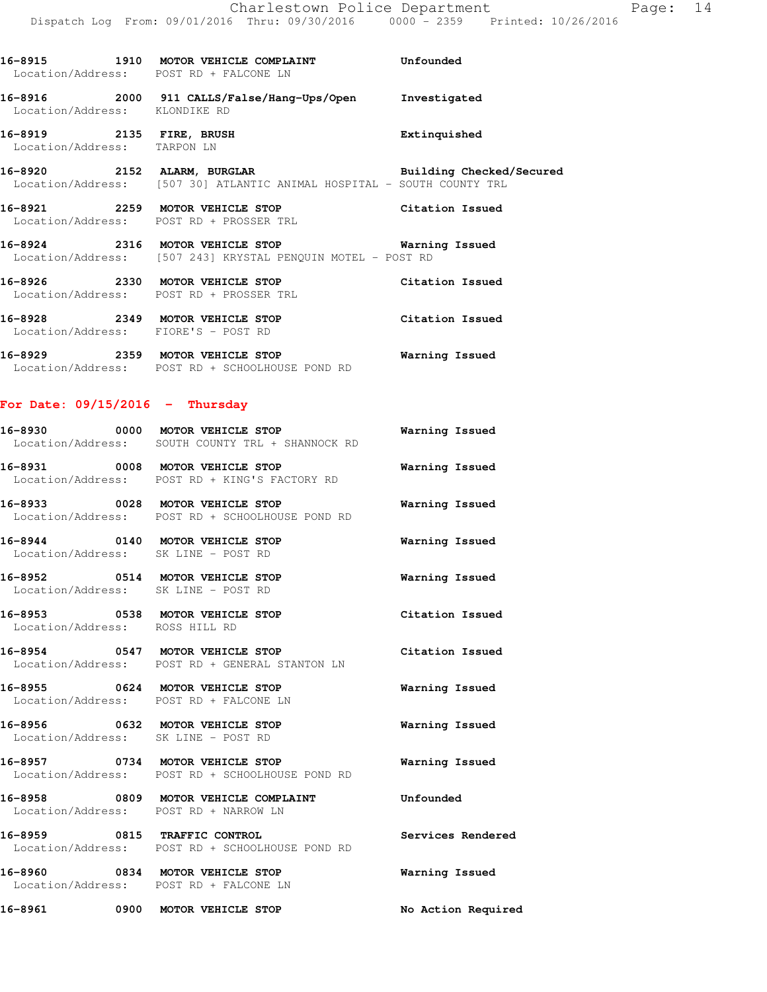Location/Address: POST RD + FALCONE LN **16-8916 2000 911 CALLS/False/Hang-Ups/Open Investigated**  Location/Address: KLONDIKE RD **16-8919 2135 FIRE, BRUSH Extinquished**  Location/Address: TARPON LN **16-8920 2152 ALARM, BURGLAR Building Checked/Secured**  Location/Address: [507 30] ATLANTIC ANIMAL HOSPITAL - SOUTH COUNTY TRL **16-8921 2259 MOTOR VEHICLE STOP Citation Issued**  Location/Address: POST RD + PROSSER TRL **16-8924 2316 MOTOR VEHICLE STOP Warning Issued**  Location/Address: [507 243] KRYSTAL PENQUIN MOTEL - POST RD **16-8926 2330 MOTOR VEHICLE STOP Citation Issued**  Location/Address: POST RD + PROSSER TRL **16-8928 2349 MOTOR VEHICLE STOP Citation Issued**  Location/Address: FIORE'S - POST RD **16-8929 2359 MOTOR VEHICLE STOP Warning Issued**  Location/Address: POST RD + SCHOOLHOUSE POND RD **For Date: 09/15/2016 - Thursday 16-8930 0000 MOTOR VEHICLE STOP Warning Issued**  Location/Address: SOUTH COUNTY TRL + SHANNOCK RD **16-8931 0008 MOTOR VEHICLE STOP Warning Issued** 

**16-8915 1910 MOTOR VEHICLE COMPLAINT Unfounded** 

Location/Address: POST RD + KING'S FACTORY RD

Location/Address: POST RD + SCHOOLHOUSE POND RD

**16-8944 0140 MOTOR VEHICLE STOP Warning Issued**  Location/Address: SK LINE - POST RD

**16-8952 0514 MOTOR VEHICLE STOP Warning Issued** 

**16-8953 0538 MOTOR VEHICLE STOP Citation Issued**  Location/Address: ROSS HILL RD

**16-8954 0547 MOTOR VEHICLE STOP Citation Issued**  Location/Address: POST RD + GENERAL STANTON LN

**16-8955 0624 MOTOR VEHICLE STOP Warning Issued**  Location/Address: POST RD + FALCONE LN

**16-8956 0632 MOTOR VEHICLE STOP Warning Issued**  Location/Address: SK LINE - POST RD

**16-8957 0734 MOTOR VEHICLE STOP Warning Issued**  Location/Address: POST RD + SCHOOLHOUSE POND RD

**16-8958 0809 MOTOR VEHICLE COMPLAINT Unfounded**  Location/Address: POST RD + NARROW LN

**16-8959 0815 TRAFFIC CONTROL Services Rendered**  Location/Address: POST RD + SCHOOLHOUSE POND RD

**16-8960 0834 MOTOR VEHICLE STOP Warning Issued**  Location/Address: POST RD + FALCONE LN

**16-8961 0900 MOTOR VEHICLE STOP No Action Required** 

**16-8933 0028 MOTOR VEHICLE STOP Warning Issued** 

Location/Address: SK LINE - POST RD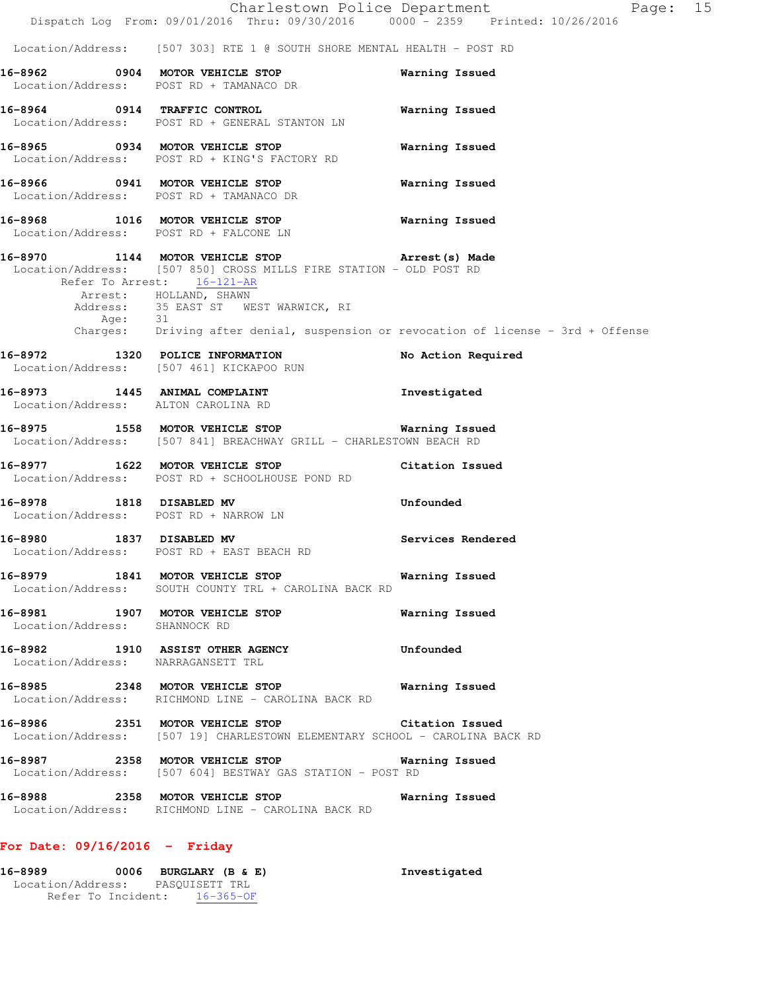|                                                                   | Dispatch Log From: 09/01/2016 Thru: 09/30/2016 0000 - 2359 Printed: 10/26/2016                                                                                                                                               | Charlestown Police Department<br>Page: 15                                          |
|-------------------------------------------------------------------|------------------------------------------------------------------------------------------------------------------------------------------------------------------------------------------------------------------------------|------------------------------------------------------------------------------------|
|                                                                   | Location/Address: [507 303] RTE 1 @ SOUTH SHORE MENTAL HEALTH - POST RD                                                                                                                                                      |                                                                                    |
|                                                                   | 16-8962 0904 MOTOR VEHICLE STOP<br>Location/Address: POST RD + TAMANACO DR                                                                                                                                                   | Warning Issued                                                                     |
|                                                                   | 16-8964 0914 TRAFFIC CONTROL<br>Location/Address: POST RD + GENERAL STANTON LN                                                                                                                                               | Warning Issued                                                                     |
|                                                                   | 16-8965 0934 MOTOR VEHICLE STOP<br>Location/Address: POST RD + KING'S FACTORY RD                                                                                                                                             | Warning Issued                                                                     |
| Location/Address: POST RD + TAMANACO DR                           | 16-8966 0941 MOTOR VEHICLE STOP                                                                                                                                                                                              | Warning Issued                                                                     |
| Location/Address: POST RD + FALCONE LN                            | 16-8968 1016 MOTOR VEHICLE STOP                                                                                                                                                                                              | Warning Issued                                                                     |
| Age: 31                                                           | 16-8970 1144 MOTOR VEHICLE STOP <b>Arrest</b> (s) Made<br>Location/Address: [507 850] CROSS MILLS FIRE STATION - OLD POST RD<br>Refer To Arrest: 16-121-AR<br>Arrest: HOLLAND, SHAWN<br>Address: 35 EAST ST WEST WARWICK, RI | Charges: Driving after denial, suspension or revocation of license - 3rd + Offense |
| 16-8972 1320 POLICE INFORMATION                                   | Location/Address: [507 461] KICKAPOO RUN                                                                                                                                                                                     | No Action Required                                                                 |
| Location/Address: ALTON CAROLINA RD                               | 16-8973 1445 ANIMAL COMPLAINT                                                                                                                                                                                                | Investigated                                                                       |
|                                                                   | 16-8975 1558 MOTOR VEHICLE STOP<br>Location/Address: [507 841] BREACHWAY GRILL - CHARLESTOWN BEACH RD                                                                                                                        | Warning Issued                                                                     |
|                                                                   | 16-8977 1622 MOTOR VEHICLE STOP<br>Location/Address: POST RD + SCHOOLHOUSE POND RD                                                                                                                                           | Citation Issued                                                                    |
| 16-8978 1818 DISABLED MV<br>Location/Address: POST RD + NARROW LN |                                                                                                                                                                                                                              | Unfounded                                                                          |
| 16-8980 1837 DISABLED MV                                          | Location/Address: POST RD + EAST BEACH RD                                                                                                                                                                                    | Services Rendered                                                                  |
|                                                                   | 16-8979 1841 MOTOR VEHICLE STOP<br>Location/Address: SOUTH COUNTY TRL + CAROLINA BACK RD                                                                                                                                     | Warning Issued                                                                     |
| Location/Address: SHANNOCK RD                                     | 16-8981 1907 MOTOR VEHICLE STOP                                                                                                                                                                                              | Warning Issued                                                                     |
| Location/Address: NARRAGANSETT TRL                                | 16-8982 1910 ASSIST OTHER AGENCY                                                                                                                                                                                             | Unfounded                                                                          |
|                                                                   | 16-8985 2348 MOTOR VEHICLE STOP 6 Warning Issued<br>Location/Address: RICHMOND LINE - CAROLINA BACK RD                                                                                                                       |                                                                                    |
|                                                                   | 16-8986 2351 MOTOR VEHICLE STOP Citation Issued<br>Location/Address: [507 19] CHARLESTOWN ELEMENTARY SCHOOL - CAROLINA BACK RD                                                                                               |                                                                                    |
|                                                                   | Location/Address: [507 604] BESTWAY GAS STATION - POST RD                                                                                                                                                                    |                                                                                    |
|                                                                   | 16-8988 2358 MOTOR VEHICLE STOP<br>Location/Address: RICHMOND LINE - CAROLINA BACK RD                                                                                                                                        | Warning Issued                                                                     |
| For Date: $09/16/2016$ - Friday                                   |                                                                                                                                                                                                                              |                                                                                    |
| 16-8989 0006 BURGLARY (B & E)<br>Location/Address: PASQUISETT TRL |                                                                                                                                                                                                                              | Investigated                                                                       |

Refer To Incident: 16-365-OF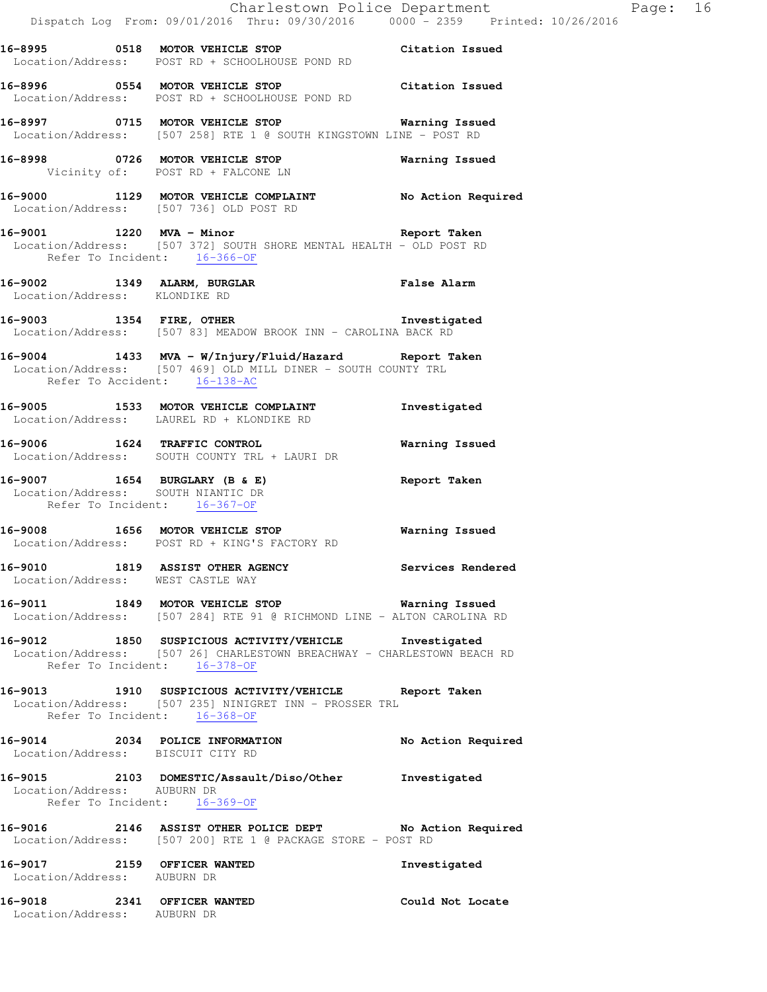| $\mathcal{O}(\mathcal{O}_\mathcal{A})$                             | Dispatch Log From: 09/01/2016 Thru: 09/30/2016 0000 - 2359 Printed: 10/26/2016                                                                                   | Charlestown Police Department | Page: 16 |  |
|--------------------------------------------------------------------|------------------------------------------------------------------------------------------------------------------------------------------------------------------|-------------------------------|----------|--|
|                                                                    | 16-8995 0518 MOTOR VEHICLE STOP Citation Issued<br>Location/Address: POST RD + SCHOOLHOUSE POND RD                                                               |                               |          |  |
|                                                                    | 16-8996 0554 MOTOR VEHICLE STOP<br>Location/Address: POST RD + SCHOOLHOUSE POND RD                                                                               | Citation Issued               |          |  |
|                                                                    | 16-8997 0715 MOTOR VEHICLE STOP 6 Warning Issued<br>Location/Address: [507 258] RTE 1 @ SOUTH KINGSTOWN LINE - POST RD                                           |                               |          |  |
|                                                                    | 16-8998 0726 MOTOR VEHICLE STOP 6 Warning Issued<br>Vicinity of: POST RD + FALCONE LN                                                                            |                               |          |  |
|                                                                    | 16-9000 1129 MOTOR VEHICLE COMPLAINT No Action Required<br>Location/Address: [507 736] OLD POST RD                                                               |                               |          |  |
| Refer To Incident: 16-366-OF                                       | 16-9001 1220 MVA - Minor Changes and Report Taken<br>Location/Address: [507 372] SOUTH SHORE MENTAL HEALTH - OLD POST RD                                         |                               |          |  |
|                                                                    | 16-9002 1349 ALARM, BURGLAR BORT False Alarm Location/Address: KLONDIKE RD                                                                                       |                               |          |  |
|                                                                    | 16-9003 1354 FIRE, OTHER 16-9003<br>Location/Address: [507 83] MEADOW BROOK INN - CAROLINA BACK RD                                                               |                               |          |  |
| Refer To Accident: 16-138-AC                                       | 16-9004 1433 MVA - W/Injury/Fluid/Hazard Report Taken<br>Location/Address: [507 469] OLD MILL DINER - SOUTH COUNTY TRL                                           |                               |          |  |
|                                                                    | 16-9005 1533 MOTOR VEHICLE COMPLAINT<br>Location/Address: LAUREL RD + KLONDIKE RD                                                                                | Investigated                  |          |  |
|                                                                    | 16-9006 1624 TRAFFIC CONTROL<br>Location/Address: SOUTH COUNTY TRL + LAURI DR                                                                                    | Warning Issued                |          |  |
| Location/Address: SOUTH NIANTIC DR<br>Refer To Incident: 16-367-OF | 16-9007 1654 BURGLARY (B & E) Report Taken                                                                                                                       |                               |          |  |
|                                                                    | 16-9008 1656 MOTOR VEHICLE STOP<br>Location/Address: POST RD + KING'S FACTORY RD                                                                                 | Warning Issued                |          |  |
| Location/Address: WEST CASTLE WAY                                  | 16-9010 1819 ASSIST OTHER AGENCY                                                                                                                                 | Services Rendered             |          |  |
|                                                                    | 16-9011 1849 MOTOR VEHICLE STOP <b>Warning Issued</b><br>Location/Address: [507 284] RTE 91 @ RICHMOND LINE - ALTON CAROLINA RD                                  |                               |          |  |
|                                                                    | 16-9012 1850 SUSPICIOUS ACTIVITY/VEHICLE Investigated<br>Location/Address: [507 26] CHARLESTOWN BREACHWAY - CHARLESTOWN BEACH RD<br>Refer To Incident: 16-378-OF |                               |          |  |
| Refer To Incident: 16-368-OF                                       | 16-9013 1910 SUSPICIOUS ACTIVITY/VEHICLE Report Taken<br>Location/Address: [507 235] NINIGRET INN - PROSSER TRL                                                  |                               |          |  |
| Location/Address: BISCUIT CITY RD                                  | 16-9014 2034 POLICE INFORMATION No Action Required                                                                                                               |                               |          |  |
| Location/Address: AUBURN DR<br>Refer To Incident: 16-369-OF        | 16-9015 2103 DOMESTIC/Assault/Diso/Other Investigated                                                                                                            |                               |          |  |
|                                                                    | 16-9016 2146 ASSIST OTHER POLICE DEPT No Action Required<br>Location/Address: [507 200] RTE 1 @ PACKAGE STORE - POST RD                                          |                               |          |  |
| 16-9017 2159 OFFICER WANTED<br>Location/Address: AUBURN DR         |                                                                                                                                                                  | Investigated                  |          |  |
| 16-9018 2341 OFFICER WANTED<br>Location/Address: AUBURN DR         |                                                                                                                                                                  | Could Not Locate              |          |  |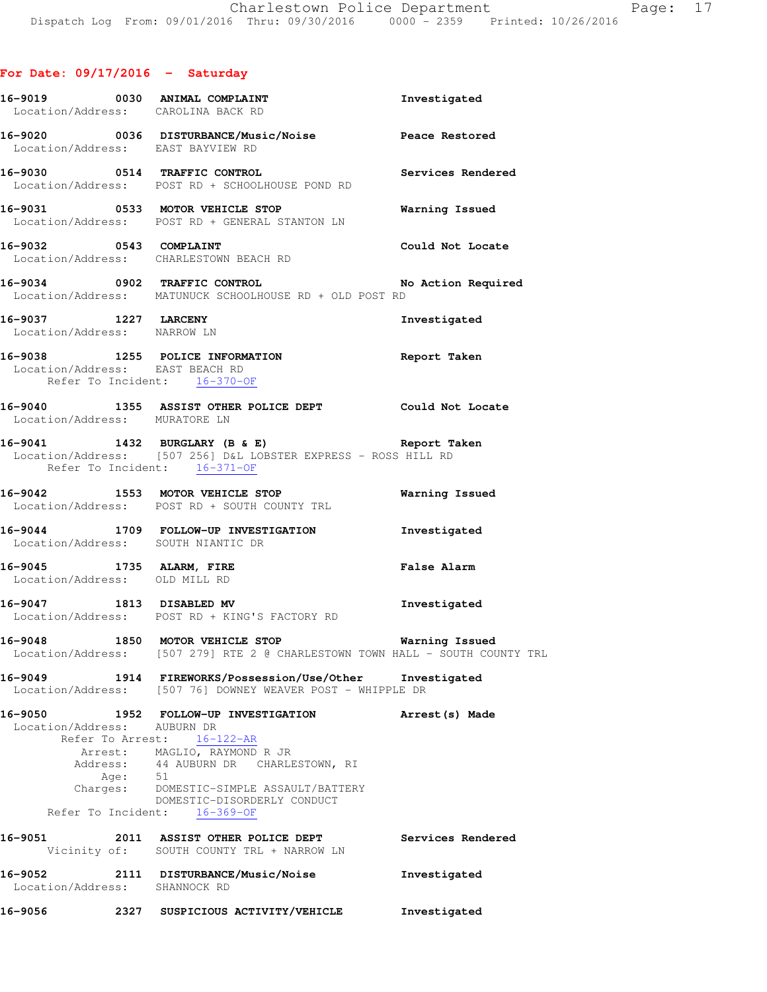# **For Date: 09/17/2016 - Saturday**

|                                                     |           | 16-9019 0030 ANIMAL COMPLAINT<br>Location/Address: CAROLINA BACK RD                                                                                                                                                                            | Investigated          |
|-----------------------------------------------------|-----------|------------------------------------------------------------------------------------------------------------------------------------------------------------------------------------------------------------------------------------------------|-----------------------|
| Location/Address: EAST BAYVIEW RD                   |           | 16-9020 0036 DISTURBANCE/Music/Noise Peace Restored                                                                                                                                                                                            |                       |
|                                                     |           | Location/Address: POST RD + SCHOOLHOUSE POND RD                                                                                                                                                                                                |                       |
|                                                     |           | 16-9031 0533 MOTOR VEHICLE STOP<br>Location/Address: POST RD + GENERAL STANTON LN                                                                                                                                                              | Warning Issued        |
|                                                     |           | 16-9032 0543 COMPLAINT<br>Location/Address: CHARLESTOWN BEACH RD                                                                                                                                                                               | Could Not Locate      |
|                                                     |           | 16-9034 0902 TRAFFIC CONTROL<br>Location/Address: MATUNUCK SCHOOLHOUSE RD + OLD POST RD                                                                                                                                                        | No Action Required    |
| 16-9037 1227 LARCENY<br>Location/Address: NARROW LN |           |                                                                                                                                                                                                                                                | Investigated          |
| Location/Address: EAST BEACH RD                     |           | 16-9038 1255 POLICE INFORMATION<br>Refer To Incident: 16-370-OF                                                                                                                                                                                | Report Taken          |
| Location/Address: MURATORE LN                       |           | 16-9040 1355 ASSIST OTHER POLICE DEPT Could Not Locate                                                                                                                                                                                         |                       |
| Refer To Incident: 16-371-OF                        |           | 16-9041 1432 BURGLARY (B & E) Report Taken<br>Location/Address: [507 256] D&L LOBSTER EXPRESS - ROSS HILL RD                                                                                                                                   |                       |
|                                                     |           | 16-9042 1553 MOTOR VEHICLE STOP<br>Location/Address: POST RD + SOUTH COUNTY TRL                                                                                                                                                                | <b>Warning Issued</b> |
|                                                     |           | 16-9044 1709 FOLLOW-UP INVESTIGATION Investigated<br>Location/Address: SOUTH NIANTIC DR                                                                                                                                                        |                       |
| Location/Address: OLD MILL RD                       |           | 16-9045 1735 ALARM, FIRE                                                                                                                                                                                                                       | <b>False Alarm</b>    |
|                                                     |           | 16-9047 1813 DISABLED MV<br>Location/Address: POST RD + KING'S FACTORY RD                                                                                                                                                                      | Investigated          |
|                                                     |           | 16-9048 1850 MOTOR VEHICLE STOP <b>16-9048</b> Warning Issued<br>Location/Address: [507 279] RTE 2 @ CHARLESTOWN TOWN HALL - SOUTH COUNTY TRL                                                                                                  |                       |
| 16-9049                                             |           | 1914 FIREWORKS/Possession/Use/Other Investigated<br>Location/Address: [507 76] DOWNEY WEAVER POST - WHIPPLE DR                                                                                                                                 |                       |
| 16-9050<br>Location/Address: AUBURN DR              | Age: $51$ | 1952 FOLLOW-UP INVESTIGATION<br>Refer To Arrest: 16-122-AR<br>Arrest: MAGLIO, RAYMOND R JR<br>Address: 44 AUBURN DR CHARLESTOWN, RI<br>Charges: DOMESTIC-SIMPLE ASSAULT/BATTERY<br>DOMESTIC-DISORDERLY CONDUCT<br>Refer To Incident: 16-369-OF | Arrest(s) Made        |
|                                                     |           | 16-9051 2011 ASSIST OTHER POLICE DEPT<br>Vicinity of: SOUTH COUNTY TRL + NARROW LN                                                                                                                                                             | Services Rendered     |
| 16-9052<br>Location/Address: SHANNOCK RD            |           | 2111 DISTURBANCE/Music/Noise                                                                                                                                                                                                                   | Investigated          |
| 16-9056                                             |           | 2327 SUSPICIOUS ACTIVITY/VEHICLE                                                                                                                                                                                                               | Investigated          |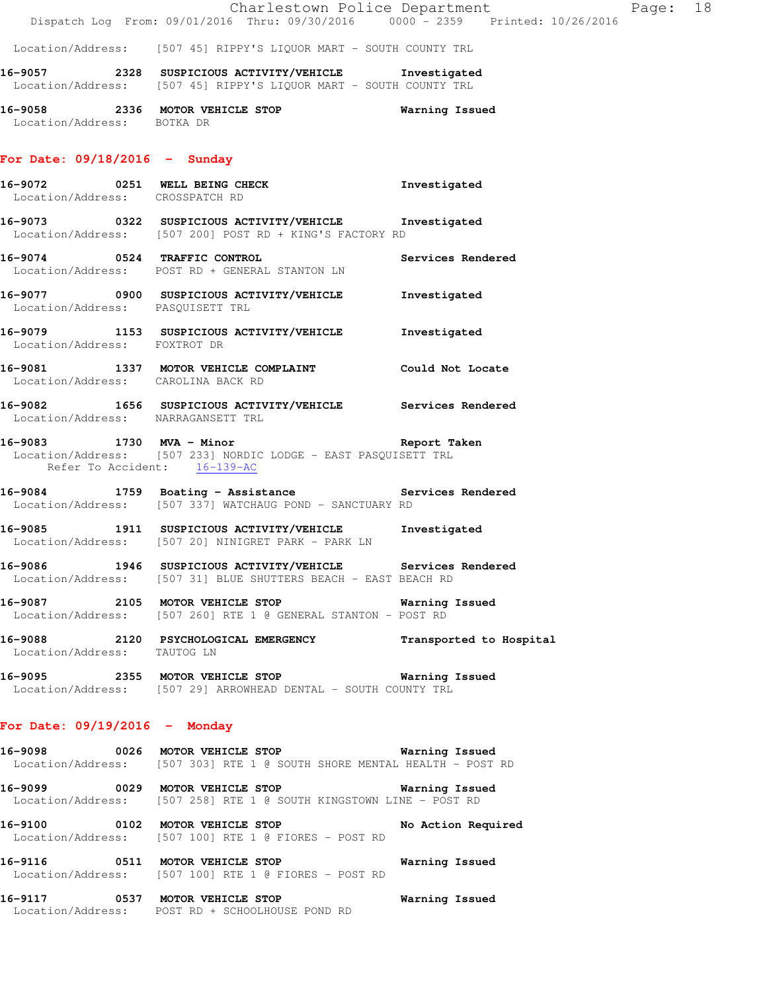Location/Address: [507 45] RIPPY'S LIQUOR MART - SOUTH COUNTY TRL

**16-9057 2328 SUSPICIOUS ACTIVITY/VEHICLE Investigated**  Location/Address: [507 45] RIPPY'S LIQUOR MART - SOUTH COUNTY TRL

**16-9058 2336 MOTOR VEHICLE STOP Warning Issued**  Location/Address: BOTKA DR

#### **For Date: 09/18/2016 - Sunday**

- **16-9072 0251 WELL BEING CHECK Investigated**  Location/Address: CROSSPATCH RD
- **16-9073 0322 SUSPICIOUS ACTIVITY/VEHICLE Investigated**  Location/Address: [507 200] POST RD + KING'S FACTORY RD
- **16-9074 0524 TRAFFIC CONTROL Services Rendered**  Location/Address: POST RD + GENERAL STANTON LN **16-9077 0900 SUSPICIOUS ACTIVITY/VEHICLE Investigated**
- Location/Address: PASQUISETT TRL
- **16-9079 1153 SUSPICIOUS ACTIVITY/VEHICLE Investigated**  Location/Address: FOXTROT DR
- **16-9081 1337 MOTOR VEHICLE COMPLAINT Could Not Locate**  Location/Address: CAROLINA BACK RD
- **16-9082 1656 SUSPICIOUS ACTIVITY/VEHICLE Services Rendered**  Location/Address: NARRAGANSETT TRL
- **16-9083 1730 MVA Minor Report Taken**  Location/Address: [507 233] NORDIC LODGE - EAST PASQUISETT TRL Refer To Accident: 16-139-AC
- **16-9084 1759 Boating Assistance Services Rendered**  Location/Address: [507 337] WATCHAUG POND - SANCTUARY RD
- **16-9085 1911 SUSPICIOUS ACTIVITY/VEHICLE Investigated**  Location/Address: [507 20] NINIGRET PARK - PARK LN
- **16-9086 1946 SUSPICIOUS ACTIVITY/VEHICLE Services Rendered**  Location/Address: [507 31] BLUE SHUTTERS BEACH - EAST BEACH RD
- **16-9087 2105 MOTOR VEHICLE STOP Warning Issued**  Location/Address: [507 260] RTE 1 @ GENERAL STANTON - POST RD
- **16-9088 2120 PSYCHOLOGICAL EMERGENCY Transported to Hospital**  Location/Address: TAUTOG LN
- **16-9095 2355 MOTOR VEHICLE STOP Warning Issued**  Location/Address: [507 29] ARROWHEAD DENTAL - SOUTH COUNTY TRL

#### **For Date: 09/19/2016 - Monday**

- **16-9098 0026 MOTOR VEHICLE STOP Warning Issued**  Location/Address: [507 303] RTE 1 @ SOUTH SHORE MENTAL HEALTH - POST RD **16-9099 0029 MOTOR VEHICLE STOP Warning Issued**  Location/Address: [507 258] RTE 1 @ SOUTH KINGSTOWN LINE - POST RD
- **16-9100 0102 MOTOR VEHICLE STOP No Action Required**  Location/Address: [507 100] RTE 1 @ FIORES - POST RD
- **16-9116 0511 MOTOR VEHICLE STOP Warning Issued**  Location/Address: [507 100] RTE 1 @ FIORES - POST RD

**16-9117 0537 MOTOR VEHICLE STOP Warning Issued**  Location/Address: POST RD + SCHOOLHOUSE POND RD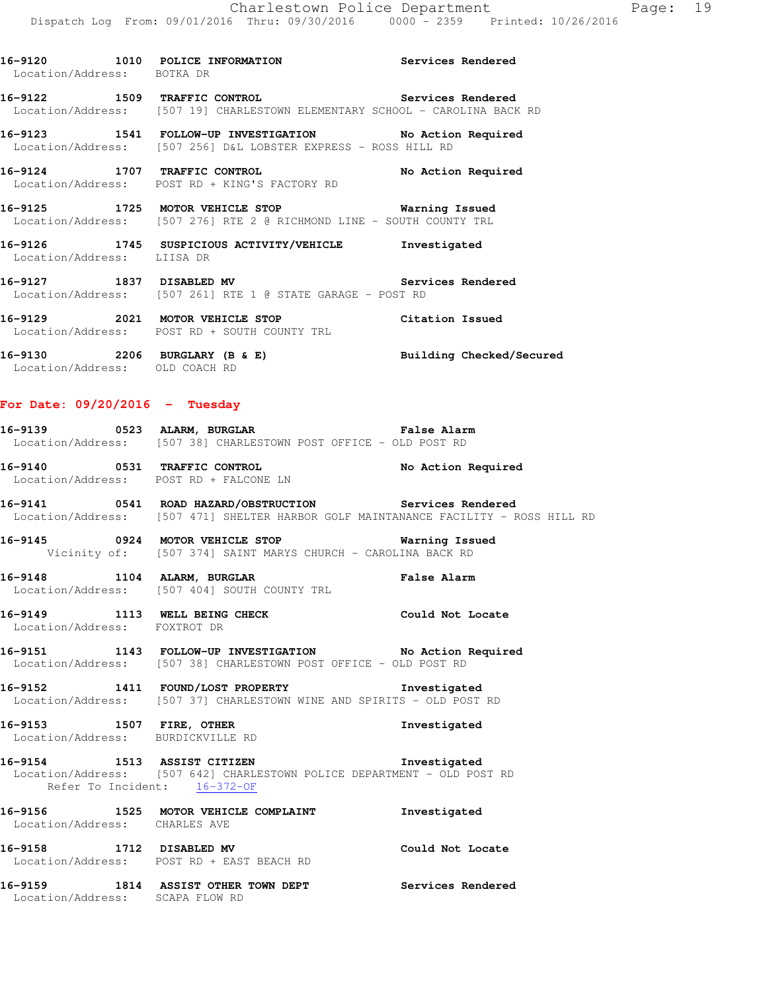**16-9120 1010 POLICE INFORMATION Services Rendered**  Location/Address: BOTKA DR **16-9122 1509 TRAFFIC CONTROL Services Rendered**  Location/Address: [507 19] CHARLESTOWN ELEMENTARY SCHOOL - CAROLINA BACK RD **16-9123 1541 FOLLOW-UP INVESTIGATION No Action Required**  Location/Address: [507 256] D&L LOBSTER EXPRESS - ROSS HILL RD **16-9124 1707 TRAFFIC CONTROL No Action Required**  Location/Address: POST RD + KING'S FACTORY RD **16-9125 1725 MOTOR VEHICLE STOP Warning Issued**  Location/Address: [507 276] RTE 2 @ RICHMOND LINE - SOUTH COUNTY TRL **16-9126 1745 SUSPICIOUS ACTIVITY/VEHICLE Investigated**  Location/Address: LIISA DR **16-9127 1837 DISABLED MV Services Rendered**  Location/Address: [507 261] RTE 1 @ STATE GARAGE - POST RD **16-9129 2021 MOTOR VEHICLE STOP Citation Issued**  Location/Address: POST RD + SOUTH COUNTY TRL **16-9130 2206 BURGLARY (B & E) Building Checked/Secured**  Location/Address: OLD COACH RD **For Date: 09/20/2016 - Tuesday 16-9139 0523 ALARM, BURGLAR False Alarm**  Location/Address: [507 38] CHARLESTOWN POST OFFICE - OLD POST RD **16-9140 0531 TRAFFIC CONTROL No Action Required**  Location/Address: POST RD + FALCONE LN **16-9141 0541 ROAD HAZARD/OBSTRUCTION Services Rendered**  Location/Address: [507 471] SHELTER HARBOR GOLF MAINTANANCE FACILITY - ROSS HILL RD **16-9145 0924 MOTOR VEHICLE STOP Warning Issued**  Vicinity of: [507 374] SAINT MARYS CHURCH - CAROLINA BACK RD **16-9148 1104 ALARM, BURGLAR False Alarm**  Location/Address: [507 404] SOUTH COUNTY TRL **16-9149 1113 WELL BEING CHECK Could Not Locate**  Location/Address: FOXTROT DR **16-9151 1143 FOLLOW-UP INVESTIGATION No Action Required**  Location/Address: [507 38] CHARLESTOWN POST OFFICE - OLD POST RD **16-9152 1411 FOUND/LOST PROPERTY Investigated**  Location/Address: [507 37] CHARLESTOWN WINE AND SPIRITS - OLD POST RD **16-9153 1507 FIRE, OTHER Investigated**  Location/Address: BURDICKVILLE RD **16-9154 1513 ASSIST CITIZEN Investigated**  Location/Address: [507 642] CHARLESTOWN POLICE DEPARTMENT - OLD POST RD Refer To Incident: 16-372-OF

**16-9156 1525 MOTOR VEHICLE COMPLAINT Investigated**  Location/Address: CHARLES AVE **16-9158 1712 DISABLED MV Could Not Locate** 

Location/Address: POST RD + EAST BEACH RD

**16-9159 1814 ASSIST OTHER TOWN DEPT Services Rendered**  Location/Address: SCAPA FLOW RD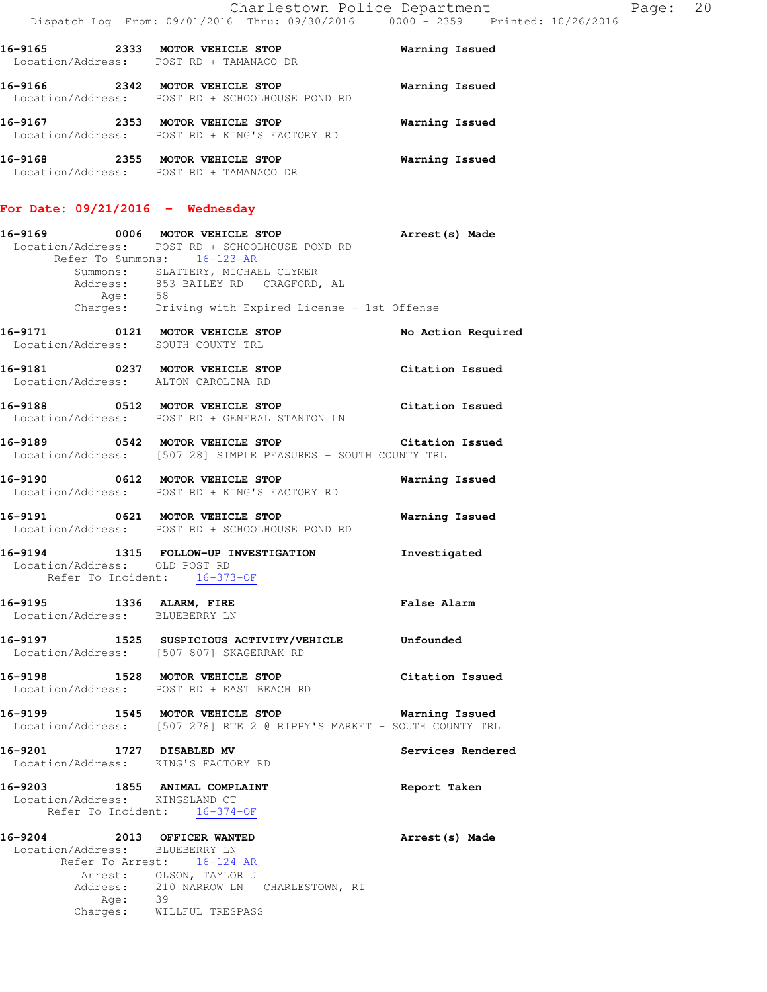| 16-9165<br>2333 | MOTOR VEHICLE STOP<br>Location/Address: POST RD + TAMANACO DR         | Warning Issued |
|-----------------|-----------------------------------------------------------------------|----------------|
| 16-9166<br>2342 | MOTOR VEHICLE STOP<br>Location/Address: POST RD + SCHOOLHOUSE POND RD | Warning Issued |
| 16-9167<br>2353 | MOTOR VEHICLE STOP<br>Location/Address: POST RD + KING'S FACTORY RD   | Warning Issued |
| 16-9168<br>2355 | MOTOR VEHICLE STOP<br>Location/Address: POST RD + TAMANACO DR         | Warning Issued |

#### **For Date: 09/21/2016 - Wednesday**

| 16-9169           |                   | 0006 MOTOR VEHICLE STOP                         | Arrest (s) Made    |  |
|-------------------|-------------------|-------------------------------------------------|--------------------|--|
|                   |                   | Location/Address: POST RD + SCHOOLHOUSE POND RD |                    |  |
|                   | Refer To Summons: | $16 - 123 - AR$                                 |                    |  |
|                   |                   | Summons: SLATTERY, MICHAEL CLYMER               |                    |  |
|                   |                   | Address: 853 BAILEY RD CRAGFORD, AL             |                    |  |
|                   | Age:              | 58                                              |                    |  |
|                   | Charges:          | Driving with Expired License - 1st Offense      |                    |  |
| 16-9171           | 0121              | MOTOR VEHICLE STOP                              | No Action Required |  |
| Location/Address: |                   | SOUTH COUNTY TRL                                |                    |  |
| 16-9181           | 0237              | MOTOR VEHICLE STOP                              | Citation Issued    |  |
|                   |                   | Location/Address: ALTON CAROLINA RD             |                    |  |

**16-9188 0512 MOTOR VEHICLE STOP Citation Issued**  Location/Address: POST RD + GENERAL STANTON LN

**16-9189 0542 MOTOR VEHICLE STOP Citation Issued**  Location/Address: [507 28] SIMPLE PEASURES - SOUTH COUNTY TRL

**16-9190 0612 MOTOR VEHICLE STOP Warning Issued**  Location/Address: POST RD + KING'S FACTORY RD

**16-9191 0621 MOTOR VEHICLE STOP Warning Issued**  Location/Address: POST RD + SCHOOLHOUSE POND RD

**16-9194 1315 FOLLOW-UP INVESTIGATION Investigated**  Location/Address: OLD POST RD Refer To Incident: 16-373-OF

**16-9195 1336 ALARM, FIRE False Alarm**  Location/Address: BLUEBERRY LN

**16-9197 1525 SUSPICIOUS ACTIVITY/VEHICLE Unfounded**  Location/Address: [507 807] SKAGERRAK RD

**16-9198 1528 MOTOR VEHICLE STOP Citation Issued**  Location/Address: POST RD + EAST BEACH RD

**16-9199 1545 MOTOR VEHICLE STOP Warning Issued**  Location/Address: [507 278] RTE 2 @ RIPPY'S MARKET - SOUTH COUNTY TRL

**16-9201 1727 DISABLED MV Services Rendered**  Location/Address: KING'S FACTORY RD **16-9203 1855 ANIMAL COMPLAINT Report Taken**  Location/Address: KINGSLAND CT Refer To Incident: 16-374-OF

**16-9204 2013 OFFICER WANTED Arrest(s) Made**  Location/Address: BLUEBERRY LN Refer To Arrest: 16-124-AR Arrest: OLSON, TAYLOR J Address: 210 NARROW LN CHARLESTOWN, RI Age: 39 Charges: WILLFUL TRESPASS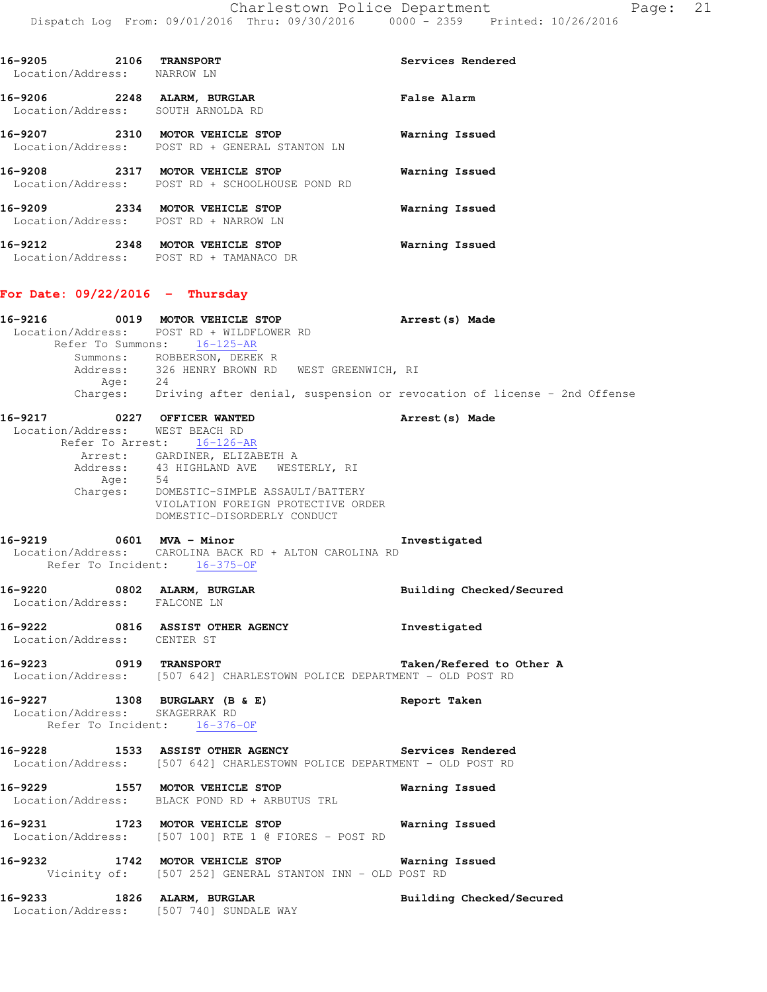| 16-9205<br>Location/Address: NARROW LN | 2106 | <b>TRANSPORT</b>                                                           | Services Rendered  |
|----------------------------------------|------|----------------------------------------------------------------------------|--------------------|
| 16-9206<br>2248<br>Location/Address:   |      | <b>ALARM, BURGLAR</b><br>SOUTH ARNOLDA RD                                  | <b>False Alarm</b> |
| 16-9207                                |      | 2310 MOTOR VEHICLE STOP<br>Location/Address: POST RD + GENERAL STANTON LN  | Warning Issued     |
| 16-9208                                |      | 2317 MOTOR VEHICLE STOP<br>Location/Address: POST RD + SCHOOLHOUSE POND RD | Warning Issued     |
| 16-9209                                |      | 2334 MOTOR VEHICLE STOP<br>Location/Address: POST RD + NARROW LN           | Warning Issued     |
| 16-9212                                |      | 2348 MOTOR VEHICLE STOP<br>Location/Address: POST RD + TAMANACO DR         | Warning Issued     |

### **For Date: 09/22/2016 - Thursday**

| 16-9216 |                              | 0019 MOTOR VEHICLE STOP                                                                                                       | Arrest(s) Made           |
|---------|------------------------------|-------------------------------------------------------------------------------------------------------------------------------|--------------------------|
|         |                              | Location/Address: POST RD + WILDFLOWER RD                                                                                     |                          |
|         |                              | Refer To Summons: 16-125-AR                                                                                                   |                          |
|         |                              | Summons: ROBBERSON, DEREK R<br>Address: 326 HENRY BROWN RD WEST GREENWICH, RI                                                 |                          |
|         |                              | Age: 24<br>Charges: Driving after denial, suspension or revocation of license - 2nd Offense                                   |                          |
|         |                              |                                                                                                                               |                          |
|         |                              | 16-9217 0227 OFFICER WANTED                                                                                                   | Arrest (s) Made          |
|         |                              | Location/Address: WEST BEACH RD                                                                                               |                          |
|         |                              | Refer To Arrest: 16-126-AR                                                                                                    |                          |
|         |                              | Arrest: GARDINER, ELIZABETH A<br>Address: 43 HIGHLAND AVE WESTERLY, RI                                                        |                          |
|         |                              | Age: 54<br>Charges: DOMESTIC-SIMPLE ASSAULT/BATTERY                                                                           |                          |
|         |                              |                                                                                                                               |                          |
|         |                              | VIOLATION FOREIGN PROTECTIVE ORDER<br>DOMESTIC-DISORDERLY CONDUCT                                                             |                          |
|         |                              |                                                                                                                               |                          |
|         |                              | 16-9219 0601 MVA - Minor                                                                                                      | Investigated             |
|         |                              | Location/Address: CAROLINA BACK RD + ALTON CAROLINA RD<br>Refer To Incident: 16-375-OF                                        |                          |
|         |                              |                                                                                                                               |                          |
|         |                              | 16-9220 0802 ALARM, BURGLAR                                                                                                   | Building Checked/Secured |
|         | Location/Address: FALCONE LN |                                                                                                                               |                          |
|         |                              | 16-9222 0816 ASSIST OTHER AGENCY                                                                                              | Investigated             |
|         | Location/Address: CENTER ST  |                                                                                                                               |                          |
|         |                              | 16-9223 0919 TRANSPORT                                                                                                        | Taken/Refered to Other A |
|         |                              | Location/Address: [507 642] CHARLESTOWN POLICE DEPARTMENT - OLD POST RD                                                       |                          |
|         |                              |                                                                                                                               | Report Taken             |
|         |                              | 16-9227 1308 BURGLARY (B & E)<br>Location/Address: SKAGERRAK RD                                                               |                          |
|         |                              | Refer To Incident: 16-376-OF                                                                                                  |                          |
|         |                              |                                                                                                                               |                          |
|         |                              | 16-9228 1533 ASSIST OTHER AGENCY Services Rendered<br>Location/Address: [507 642] CHARLESTOWN POLICE DEPARTMENT - OLD POST RD |                          |
|         |                              | 16-9229 1557 MOTOR VEHICLE STOP                                                                                               | Warning Issued           |
|         |                              | Location/Address: BLACK POND RD + ARBUTUS TRL                                                                                 |                          |
| 16-9231 |                              | 1723 MOTOR VEHICLE STOP                                                                                                       | Warning Issued           |
|         |                              | Location/Address: [507 100] RTE 1 @ FIORES - POST RD                                                                          |                          |
|         |                              | 16-9232 1742 MOTOR VEHICLE STOP 6 Warning Issued                                                                              |                          |
|         |                              | Vicinity of: [507 252] GENERAL STANTON INN - OLD POST RD                                                                      |                          |
|         |                              | 16-9233 1826 ALARM, BURGLAR                                                                                                   |                          |
|         |                              | Location/Address: [507 740] SUNDALE WAY                                                                                       | Building Checked/Secured |
|         |                              |                                                                                                                               |                          |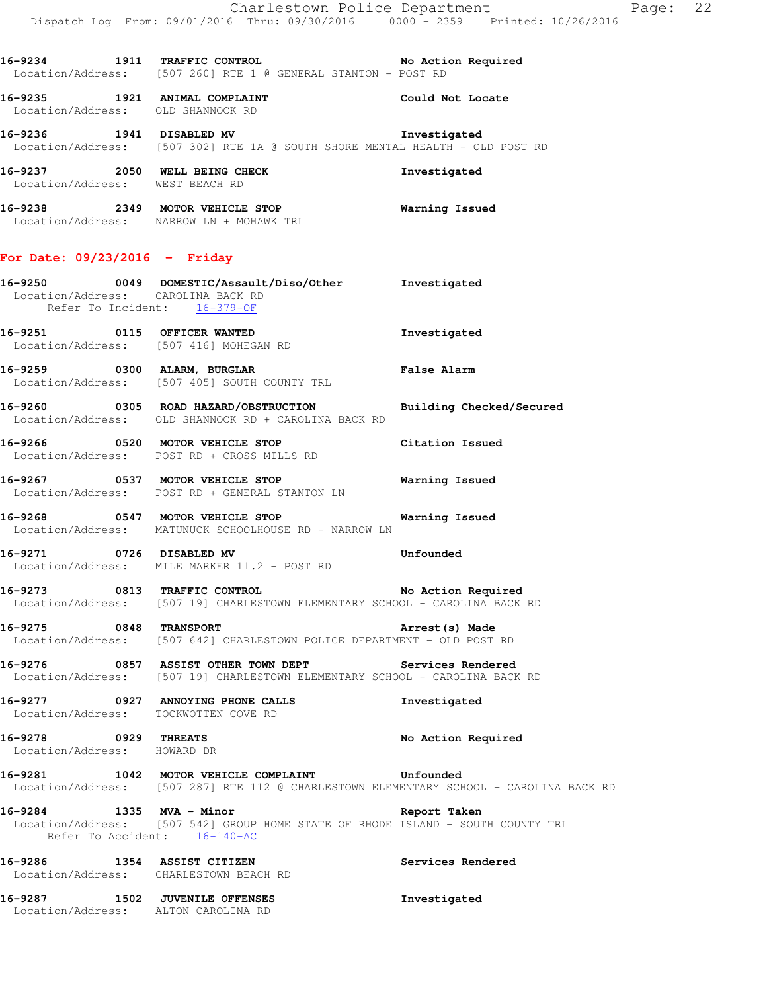**16-9234 1911 TRAFFIC CONTROL No Action Required**  Location/Address: [507 260] RTE 1 @ GENERAL STANTON - POST RD

**16-9235 1921 ANIMAL COMPLAINT Could Not Locate**  Location/Address: OLD SHANNOCK RD

**16-9236 1941 DISABLED MV Investigated**  Location/Address: [507 302] RTE 1A @ SOUTH SHORE MENTAL HEALTH - OLD POST RD

**16-9237 2050 WELL BEING CHECK Investigated**  Location/Address: WEST BEACH RD

**16-9238 2349 MOTOR VEHICLE STOP Warning Issued**  Location/Address: NARROW LN + MOHAWK TRL

#### **For Date: 09/23/2016 - Friday**

| 16-9250 | 0049 | DOMESTIC/Assault/Diso/Other<br>Location/Address: CAROLINA BACK RD<br>Refer To Incident: 16-379-OF | Investigated       |  |
|---------|------|---------------------------------------------------------------------------------------------------|--------------------|--|
| 16-9251 | 0115 | OFFICER WANTED<br>Location/Address: [507 416] MOHEGAN RD                                          | Investigated       |  |
| 16-9259 | 0300 | ALARM, BURGLAR                                                                                    | <b>False Alarm</b> |  |

 Location/Address: [507 405] SOUTH COUNTY TRL **16-9260 0305 ROAD HAZARD/OBSTRUCTION Building Checked/Secured** 

Location/Address: OLD SHANNOCK RD + CAROLINA BACK RD

**16-9266 0520 MOTOR VEHICLE STOP Citation Issued**  Location/Address: POST RD + CROSS MILLS RD

**16-9267 0537 MOTOR VEHICLE STOP Warning Issued**  Location/Address: POST RD + GENERAL STANTON LN

**16-9268 0547 MOTOR VEHICLE STOP Warning Issued**  Location/Address: MATUNUCK SCHOOLHOUSE RD + NARROW LN

**16-9271 0726 DISABLED MV Unfounded**  Location/Address: MILE MARKER 11.2 - POST RD

**16-9273 0813 TRAFFIC CONTROL No Action Required**  Location/Address: [507 19] CHARLESTOWN ELEMENTARY SCHOOL - CAROLINA BACK RD

**16-9275 0848 TRANSPORT Arrest(s) Made**  Location/Address: [507 642] CHARLESTOWN POLICE DEPARTMENT - OLD POST RD

**16-9276 0857 ASSIST OTHER TOWN DEPT Services Rendered**  Location/Address: [507 19] CHARLESTOWN ELEMENTARY SCHOOL - CAROLINA BACK RD

**16-9277 0927 ANNOYING PHONE CALLS Investigated**  Location/Address: TOCKWOTTEN COVE RD

**16-9278 0929 THREATS No Action Required**  Location/Address: HOWARD DR

**16-9281 1042 MOTOR VEHICLE COMPLAINT Unfounded**  Location/Address: [507 287] RTE 112 @ CHARLESTOWN ELEMENTARY SCHOOL - CAROLINA BACK RD

**16-9284 1335 MVA - Minor Report Taken**  Location/Address: [507 542] GROUP HOME STATE OF RHODE ISLAND - SOUTH COUNTY TRL Refer To Accident: 16-140-AC

**16-9286 1354 ASSIST CITIZEN Services Rendered**  Location/Address: CHARLESTOWN BEACH RD

**16-9287 1502 JUVENILE OFFENSES Investigated**  Location/Address: ALTON CAROLINA RD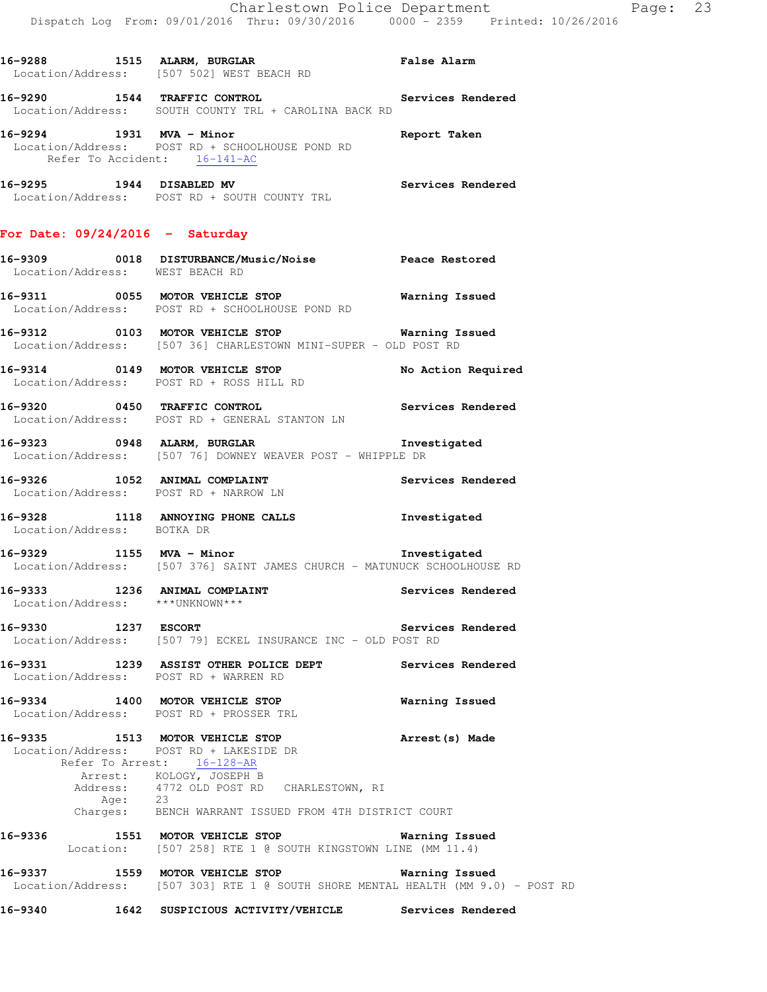**16-9288 1515 ALARM, BURGLAR False Alarm**  Location/Address: [507 502] WEST BEACH RD **16-9290 1544 TRAFFIC CONTROL Services Rendered**  Location/Address: SOUTH COUNTY TRL + CAROLINA BACK RD **16-9294 1931 MVA - Minor Report Taken**  Location/Address: POST RD + SCHOOLHOUSE POND RD Refer To Accident: 16-141-AC **16-9295 1944 DISABLED MV Services Rendered**  Location/Address: POST RD + SOUTH COUNTY TRL **For Date: 09/24/2016 - Saturday**

**16-9309 0018 DISTURBANCE/Music/Noise Peace Restored**  Location/Address: WEST BEACH RD

**16-9311 0055 MOTOR VEHICLE STOP Warning Issued**  Location/Address: POST RD + SCHOOLHOUSE POND RD

**16-9312 0103 MOTOR VEHICLE STOP Warning Issued**  Location/Address: [507 36] CHARLESTOWN MINI-SUPER - OLD POST RD

**16-9314 0149 MOTOR VEHICLE STOP No Action Required**  Location/Address: POST RD + ROSS HILL RD

**16-9320 0450 TRAFFIC CONTROL Services Rendered**  Location/Address: POST RD + GENERAL STANTON LN

**16-9323 0948 ALARM, BURGLAR Investigated**  Location/Address: [507 76] DOWNEY WEAVER POST - WHIPPLE DR

**16-9326 1052 ANIMAL COMPLAINT Services Rendered**  Location/Address: POST RD + NARROW LN

**16-9328 1118 ANNOYING PHONE CALLS Investigated**  Location/Address: BOTKA DR

**16-9329 1155 MVA - Minor Investigated**  Location/Address: [507 376] SAINT JAMES CHURCH - MATUNUCK SCHOOLHOUSE RD

**16-9333 1236 ANIMAL COMPLAINT Services Rendered**  Location/Address: \*\*\*UNKNOWN\*\*\*

**16-9330 1237 ESCORT Services Rendered**  Location/Address: [507 79] ECKEL INSURANCE INC - OLD POST RD

**16-9331 1239 ASSIST OTHER POLICE DEPT Services Rendered**  Location/Address: POST RD + WARREN RD

**16-9334 1400 MOTOR VEHICLE STOP Warning Issued**  Location/Address: POST RD + PROSSER TRL

**16-9335 1513 MOTOR VEHICLE STOP Arrest(s) Made**  Location/Address: POST RD + LAKESIDE DR Refer To Arrest: 16-128-AR Arrest: KOLOGY, JOSEPH B Address: 4772 OLD POST RD CHARLESTOWN, RI<br>Age: 23 Age: 23 Charges: BENCH WARRANT ISSUED FROM 4TH DISTRICT COURT

**16-9336 1551 MOTOR VEHICLE STOP Warning Issued**  Location: [507 258] RTE 1 @ SOUTH KINGSTOWN LINE (MM 11.4)

**16-9337 1559 MOTOR VEHICLE STOP Warning Issued**  Location/Address: [507 303] RTE 1 @ SOUTH SHORE MENTAL HEALTH (MM 9.0) - POST RD

**16-9340 1642 SUSPICIOUS ACTIVITY/VEHICLE Services Rendered**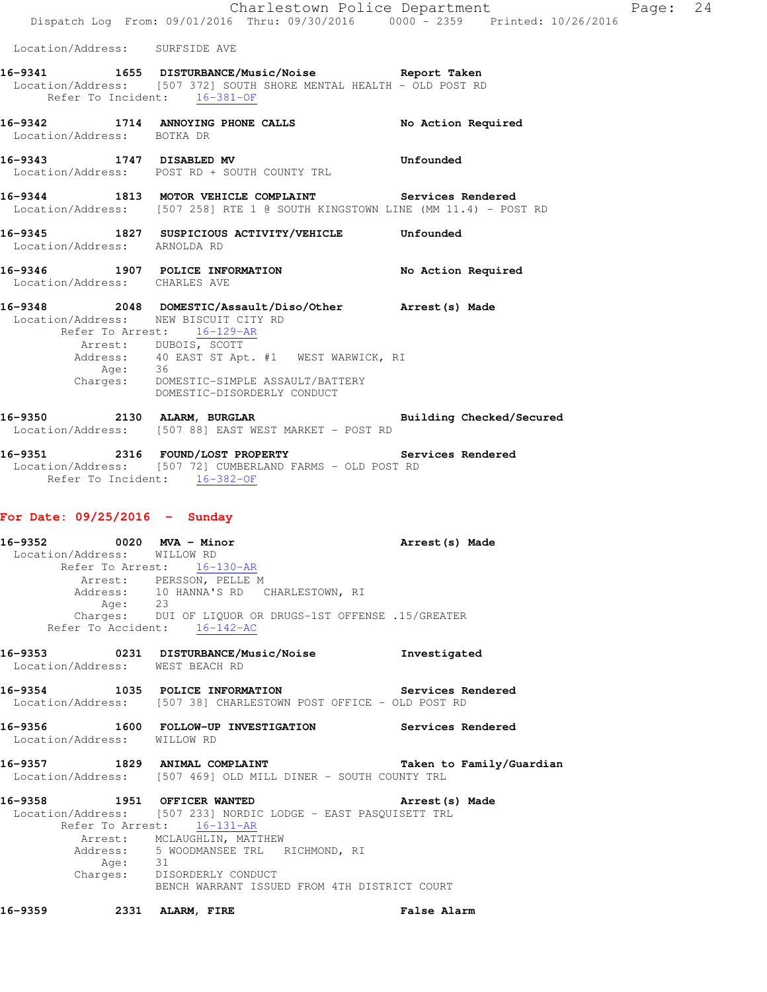Charlestown Police Department Page: 24 Dispatch Log From: 09/01/2016 Thru: 09/30/2016 0000 - 2359 Printed: 10/26/2016 Location/Address: SURFSIDE AVE **16-9341 1655 DISTURBANCE/Music/Noise Report Taken**  Location/Address: [507 372] SOUTH SHORE MENTAL HEALTH - OLD POST RD Refer To Incident: 16-381-OF **16-9342 1714 ANNOYING PHONE CALLS No Action Required**  Location/Address: BOTKA DR **16-9343 1747 DISABLED MV Unfounded**  Location/Address: POST RD + SOUTH COUNTY TRL **16-9344 1813 MOTOR VEHICLE COMPLAINT Services Rendered**  Location/Address: [507 258] RTE 1 @ SOUTH KINGSTOWN LINE (MM 11.4) - POST RD **16-9345 1827 SUSPICIOUS ACTIVITY/VEHICLE Unfounded**  Location/Address: ARNOLDA RD **16-9346 1907 POLICE INFORMATION No Action Required**  Location/Address: CHARLES AVE **16-9348 2048 DOMESTIC/Assault/Diso/Other Arrest(s) Made**  Location/Address: NEW BISCUIT CITY RD Refer To Arrest: 16-129-AR Arrest: DUBOIS, SCOTT Address: 40 EAST ST Apt. #1 WEST WARWICK, RI Address:<br>Age: Charges: DOMESTIC-SIMPLE ASSAULT/BATTERY DOMESTIC-DISORDERLY CONDUCT **16-9350 2130 ALARM, BURGLAR Building Checked/Secured**  Location/Address: [507 88] EAST WEST MARKET - POST RD

**16-9351 2316 FOUND/LOST PROPERTY Services Rendered**  Location/Address: [507 72] CUMBERLAND FARMS - OLD POST RD Refer To Incident: 16-382-OF

### **For Date: 09/25/2016 - Sunday**

**16-9352 0020 MVA - Minor Arrest(s) Made**  Location/Address: WILLOW RD Refer To Arrest: 16-130-AR Arrest: PERSSON, PELLE M Address: 10 HANNA'S RD CHARLESTOWN, RI Age: 23 Charges: DUI OF LIQUOR OR DRUGS-1ST OFFENSE .15/GREATER Refer To Accident: 16-142-AC

- **16-9353 0231 DISTURBANCE/Music/Noise Investigated**  Location/Address: WEST BEACH RD
- **16-9354 1035 POLICE INFORMATION Services Rendered**  Location/Address: [507 38] CHARLESTOWN POST OFFICE - OLD POST RD
- **16-9356 1600 FOLLOW-UP INVESTIGATION Services Rendered**  Location/Address: WILLOW RD
- **16-9357 1829 ANIMAL COMPLAINT Taken to Family/Guardian**  Location/Address: [507 469] OLD MILL DINER - SOUTH COUNTY TRL
- **16-9358 1951 OFFICER WANTED Arrest(s) Made**  Location/Address: [507 233] NORDIC LODGE - EAST PASQUISETT TRL Refer To Arrest: 16-131-AR Arrest: MCLAUGHLIN, MATTHEW Address: 5 WOODMANSEE TRL RICHMOND, RI Age: 31 Charges: DISORDERLY CONDUCT BENCH WARRANT ISSUED FROM 4TH DISTRICT COURT
- **16-9359 2331 ALARM, FIRE False Alarm**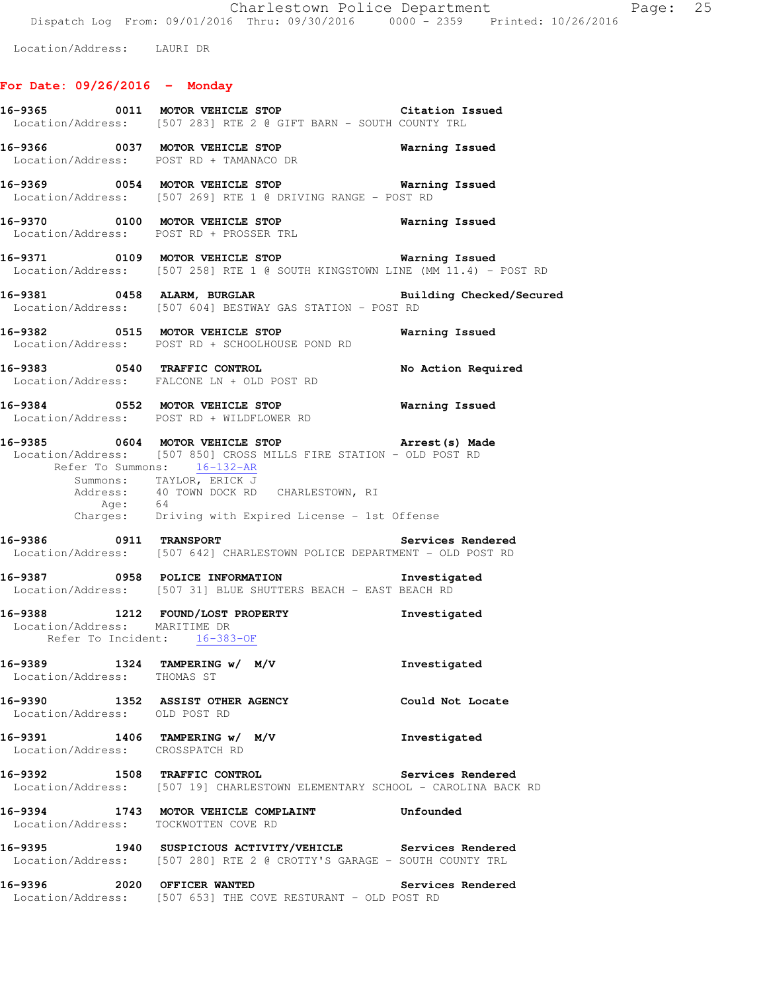Charlestown Police Department Fage: 25 Dispatch Log From: 09/01/2016 Thru: 09/30/2016 0000 - 2359 Printed: 10/26/2016

Location/Address: LAURI DR

# **For Date: 09/26/2016 - Monday**

|                                 | 16-9365 0011 MOTOR VEHICLE STOP Citation Issued<br>Location/Address: [507 283] RTE 2 @ GIFT BARN - SOUTH COUNTY TRL                                                                                                                                                                    |                       |
|---------------------------------|----------------------------------------------------------------------------------------------------------------------------------------------------------------------------------------------------------------------------------------------------------------------------------------|-----------------------|
|                                 | 16-9366 0037 MOTOR VEHICLE STOP<br>Location/Address: POST RD + TAMANACO DR                                                                                                                                                                                                             | <b>Warning Issued</b> |
|                                 | 16-9369 0054 MOTOR VEHICLE STOP 6 Warning Issued<br>Location/Address: [507 269] RTE 1 @ DRIVING RANGE - POST RD                                                                                                                                                                        |                       |
|                                 | 16-9370 0100 MOTOR VEHICLE STOP Warning Issued<br>Location/Address: POST RD + PROSSER TRL                                                                                                                                                                                              |                       |
|                                 | 16-9371 0109 MOTOR VEHICLE STOP <b>Warning Issued</b><br>Location/Address: [507 258] RTE 1 @ SOUTH KINGSTOWN LINE (MM 11.4) - POST RD                                                                                                                                                  |                       |
|                                 | 16-9381 0458 ALARM, BURGLAR Communications Building Checked/Secured<br>Location/Address: [507 604] BESTWAY GAS STATION - POST RD                                                                                                                                                       |                       |
|                                 | 16-9382 0515 MOTOR VEHICLE STOP <b>Warning Issued</b><br>Location/Address: POST RD + SCHOOLHOUSE POND RD                                                                                                                                                                               |                       |
|                                 | 16-9383 0540 TRAFFIC CONTROL<br>Location/Address: FALCONE LN + OLD POST RD                                                                                                                                                                                                             | No Action Required    |
|                                 | 16-9384 0552 MOTOR VEHICLE STOP 6 Warning Issued<br>Location/Address: POST RD + WILDFLOWER RD                                                                                                                                                                                          |                       |
|                                 | 16-9385 0604 MOTOR VEHICLE STOP 16-9385<br>Location/Address: [507 850] CROSS MILLS FIRE STATION - OLD POST RD<br>Refer To Summons: 16-132-AR<br>Summons: TAYLOR, ERICK J<br>Address: 40 TOWN DOCK RD CHARLESTOWN, RI<br>Age: 64<br>Charges: Driving with Expired License - 1st Offense |                       |
|                                 | Location/Address: [507 642] CHARLESTOWN POLICE DEPARTMENT - OLD POST RD                                                                                                                                                                                                                |                       |
|                                 | 16-9387 0958 POLICE INFORMATION<br>Location/Address: [507 31] BLUE SHUTTERS BEACH - EAST BEACH RD                                                                                                                                                                                      | Investigated          |
|                                 | 16-9388 1212 FOUND/LOST PROPERTY<br>Location/Address: MARITIME DR<br>Refer To Incident: 16-383-OF                                                                                                                                                                                      | Investigated          |
| Location/Address: THOMAS ST     | 16-9389 1324 TAMPERING w/ M/V                                                                                                                                                                                                                                                          | Investigated          |
| Location/Address: OLD POST RD   | 16-9390 1352 ASSIST OTHER AGENCY                                                                                                                                                                                                                                                       | Could Not Locate      |
| Location/Address: CROSSPATCH RD | 16-9391 1406 TAMPERING w/ M/V                                                                                                                                                                                                                                                          | Investigated          |
|                                 | 16-9392 1508 TRAFFIC CONTROL 2000 Services Rendered<br>Location/Address: [507 19] CHARLESTOWN ELEMENTARY SCHOOL - CAROLINA BACK RD                                                                                                                                                     |                       |
|                                 | 16-9394 1743 MOTOR VEHICLE COMPLAINT Unfounded<br>Location/Address: TOCKWOTTEN COVE RD                                                                                                                                                                                                 |                       |
|                                 | 16-9395 1940 SUSPICIOUS ACTIVITY/VEHICLE Services Rendered<br>Location/Address: [507 280] RTE 2 @ CROTTY'S GARAGE - SOUTH COUNTY TRL                                                                                                                                                   |                       |
| 16-9396 2020 OFFICER WANTED     | Location/Address: [507 653] THE COVE RESTURANT - OLD POST RD                                                                                                                                                                                                                           | Services Rendered     |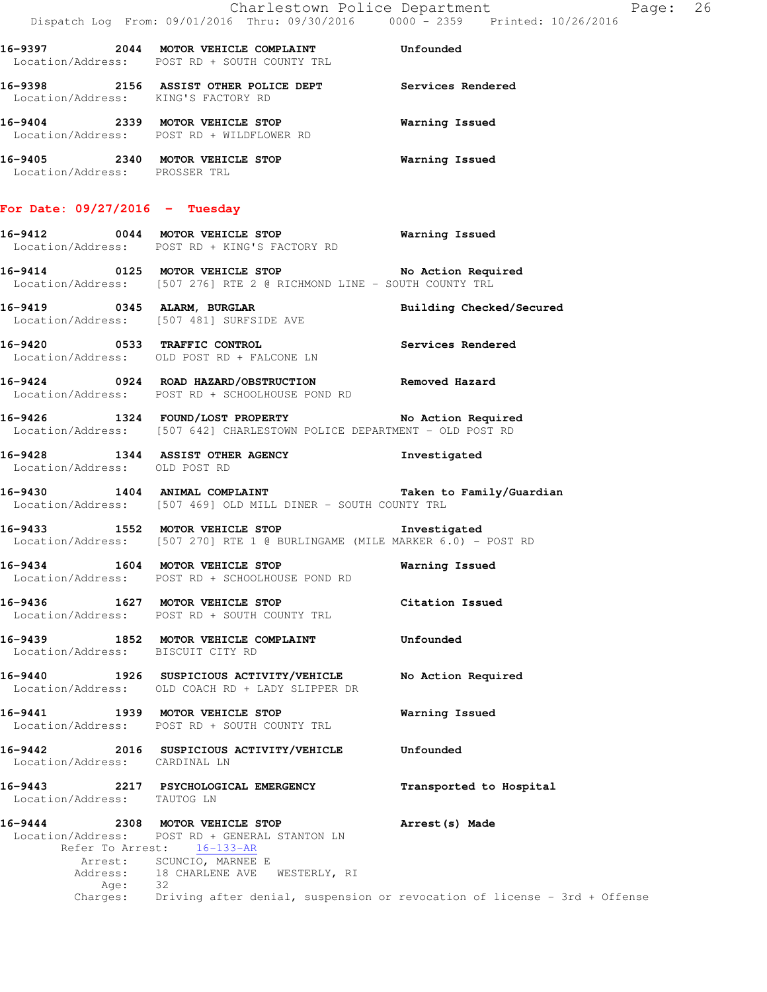|                                        | Dispatch Log From: 09/01/2016 Thru: 09/30/2016 0000 - 2359 Printed: 10/26/2016                                                                                                              | Charlestown Police Department<br>Page: 26                                                             |  |
|----------------------------------------|---------------------------------------------------------------------------------------------------------------------------------------------------------------------------------------------|-------------------------------------------------------------------------------------------------------|--|
|                                        | 16-9397 2044 MOTOR VEHICLE COMPLAINT Unfounded<br>Location/Address: POST RD + SOUTH COUNTY TRL                                                                                              |                                                                                                       |  |
| Location/Address: KING'S FACTORY RD    | 16-9398 2156 ASSIST OTHER POLICE DEPT Services Rendered                                                                                                                                     |                                                                                                       |  |
|                                        | 16-9404 2339 MOTOR VEHICLE STOP<br>Location/Address: POST RD + WILDFLOWER RD                                                                                                                | Warning Issued                                                                                        |  |
| Location/Address: PROSSER TRL          | 16-9405 2340 MOTOR VEHICLE STOP 6 Warning Issued                                                                                                                                            |                                                                                                       |  |
| For Date: 09/27/2016 - Tuesday         |                                                                                                                                                                                             |                                                                                                       |  |
|                                        | 16-9412 0044 MOTOR VEHICLE STOP<br>Location/Address: POST RD + KING'S FACTORY RD                                                                                                            | <b>Warning Issued</b>                                                                                 |  |
|                                        | 16-9414 0125 MOTOR VEHICLE STOP No Action Required<br>Location/Address: [507 276] RTE 2 @ RICHMOND LINE - SOUTH COUNTY TRL                                                                  |                                                                                                       |  |
|                                        | 16-9419 0345 ALARM, BURGLAR<br>Location/Address: [507 481] SURFSIDE AVE                                                                                                                     | Building Checked/Secured                                                                              |  |
|                                        | 16-9420 0533 TRAFFIC CONTROL <b>16-9420</b> Services Rendered<br>Location/Address: OLD POST RD + FALCONE LN                                                                                 |                                                                                                       |  |
|                                        | 16-9424 0924 ROAD HAZARD/OBSTRUCTION Removed Hazard<br>Location/Address: POST RD + SCHOOLHOUSE POND RD                                                                                      |                                                                                                       |  |
|                                        | 16-9426 1324 FOUND/LOST PROPERTY No Action Required<br>Location/Address: [507 642] CHARLESTOWN POLICE DEPARTMENT - OLD POST RD                                                              |                                                                                                       |  |
| Location/Address: OLD POST RD          | 16-9428 1344 ASSIST OTHER AGENCY                                                                                                                                                            | Investigated                                                                                          |  |
|                                        | 16-9430 1404 ANIMAL COMPLAINT<br>Location/Address: [507 469] OLD MILL DINER - SOUTH COUNTY TRL                                                                                              | Taken to Family/Guardian                                                                              |  |
|                                        | 16-9433 1552 MOTOR VEHICLE STOP 10 Investigated<br>Location/Address: [507 270] RTE 1 @ BURLINGAME (MILE MARKER 6.0) - POST RD                                                               |                                                                                                       |  |
|                                        | 16-9434 1604 MOTOR VEHICLE STOP<br>Location/Address: POST RD + SCHOOLHOUSE POND RD                                                                                                          | Warning Issued                                                                                        |  |
| 16-9436 1627 MOTOR VEHICLE STOP        | Location/Address: POST RD + SOUTH COUNTY TRL                                                                                                                                                | Citation Issued                                                                                       |  |
| Location/Address: BISCUIT CITY RD      |                                                                                                                                                                                             | Unfounded                                                                                             |  |
|                                        | 16-9440 1926 SUSPICIOUS ACTIVITY/VEHICLE<br>Location/Address: OLD COACH RD + LADY SLIPPER DR                                                                                                | No Action Required                                                                                    |  |
|                                        | 16-9441 1939 MOTOR VEHICLE STOP<br>Location/Address: POST RD + SOUTH COUNTY TRL                                                                                                             | Warning Issued                                                                                        |  |
| Location/Address: CARDINAL LN          | 16-9442 2016 SUSPICIOUS ACTIVITY/VEHICLE                                                                                                                                                    | Unfounded                                                                                             |  |
| 16-9443<br>Location/Address: TAUTOG LN | 2217 PSYCHOLOGICAL EMERGENCY                                                                                                                                                                | Transported to Hospital                                                                               |  |
| Age:                                   | 16-9444 2308 MOTOR VEHICLE STOP<br>Location/Address: POST RD + GENERAL STANTON LN<br>Refer To Arrest: 16-133-AR<br>Arrest: SCUNCIO, MARNEE E<br>Address: 18 CHARLENE AVE WESTERLY, RI<br>32 | Arrest (s) Made<br>Charges: Driving after denial, suspension or revocation of license - 3rd + Offense |  |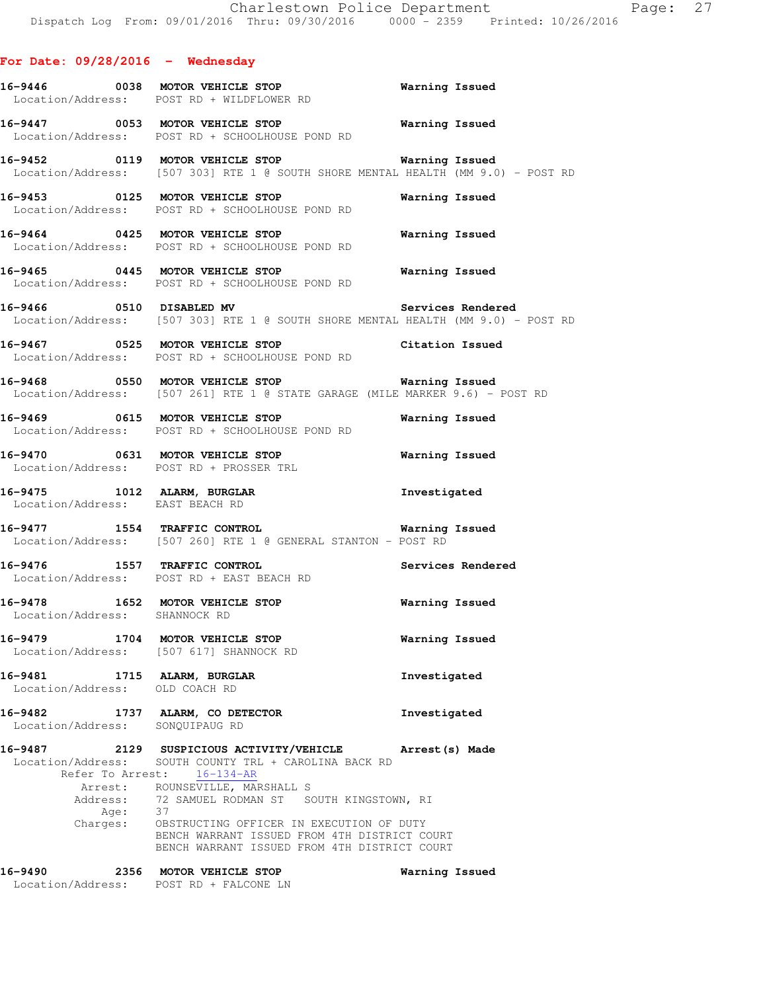### **For Date: 09/28/2016 - Wednesday**

|                                 | Location/Address: POST RD + WILDFLOWER RD                                                                                                         |                       |                   |
|---------------------------------|---------------------------------------------------------------------------------------------------------------------------------------------------|-----------------------|-------------------|
|                                 | 16-9447 0053 MOTOR VEHICLE STOP<br>Location/Address: POST RD + SCHOOLHOUSE POND RD                                                                | <b>Warning Issued</b> |                   |
|                                 | 16-9452 0119 MOTOR VEHICLE STOP Warning Issued<br>Location/Address: [507 303] RTE 1 @ SOUTH SHORE MENTAL HEALTH (MM 9.0) - POST RD                |                       |                   |
|                                 | 16-9453 0125 MOTOR VEHICLE STOP<br>Location/Address: POST RD + SCHOOLHOUSE POND RD                                                                |                       | Warning Issued    |
|                                 | 16-9464 0425 MOTOR VEHICLE STOP<br>Location/Address: POST RD + SCHOOLHOUSE POND RD                                                                | <b>Warning Issued</b> |                   |
|                                 | 16-9465 0445 MOTOR VEHICLE STOP<br>Location/Address: POST RD + SCHOOLHOUSE POND RD                                                                | <b>Warning Issued</b> |                   |
|                                 | 16-9466 0510 DISABLED MV 3ervices Rendered<br>Location/Address: [507 303] RTE 1 @ SOUTH SHORE MENTAL HEALTH (MM 9.0) - POST RD                    |                       |                   |
|                                 | 16-9467 0525 MOTOR VEHICLE STOP Citation Issued<br>Location/Address: POST RD + SCHOOLHOUSE POND RD                                                |                       |                   |
|                                 | 16-9468 0550 MOTOR VEHICLE STOP 6 Warning Issued<br>Location/Address: [507 261] RTE 1 @ STATE GARAGE (MILE MARKER 9.6) - POST RD                  |                       |                   |
|                                 | 16-9469 0615 MOTOR VEHICLE STOP<br>Location/Address: POST RD + SCHOOLHOUSE POND RD                                                                | Warning Issued        |                   |
|                                 | 16-9470 0631 MOTOR VEHICLE STOP Warning Issued<br>Location/Address: POST RD + PROSSER TRL                                                         |                       |                   |
|                                 | 16-9475 1012 ALARM, BURGLAR<br>Location/Address: EAST BEACH RD                                                                                    | Investigated          |                   |
|                                 | 16-9477 1554 TRAFFIC CONTROL Warning I<br>Location/Address: [507 260] RTE 1 @ GENERAL STANTON - POST RD                                           |                       | Warning Issued    |
|                                 | 16-9476 1557 TRAFFIC CONTROL<br>Location/Address: POST RD + EAST BEACH RD                                                                         |                       | Services Rendered |
| Location/Address: SHANNOCK RD   | 16-9478 1652 MOTOR VEHICLE STOP 16-9478 Warning Issued                                                                                            |                       |                   |
|                                 | 16-9479 1704 MOTOR VEHICLE STOP<br><b>Warning Issued</b><br>Location/Address: [507 617] SHANNOCK RD                                               |                       |                   |
| Location/Address: OLD COACH RD  | 16-9481 1715 ALARM, BURGLAR                                                                                                                       | Investigated          |                   |
| Location/Address: SONQUIPAUG RD | 16-9482 1737 ALARM, CO DETECTOR                                                                                                                   | Investigated          |                   |
|                                 | 16-9487 2129 SUSPICIOUS ACTIVITY/VEHICLE Arrest (s) Made<br>Location/Address: SOUTH COUNTY TRL + CAROLINA BACK RD<br>Refer To Arrest: 16-134-AR   |                       |                   |
|                                 | Arrest: ROUNSEVILLE, MARSHALL S<br>Address: 72 SAMUEL RODMAN ST SOUTH KINGSTOWN, RI<br>Age: 37                                                    |                       |                   |
|                                 | Charges: OBSTRUCTING OFFICER IN EXECUTION OF DUTY<br>BENCH WARRANT ISSUED FROM 4TH DISTRICT COURT<br>BENCH WARRANT ISSUED FROM 4TH DISTRICT COURT |                       |                   |
| 16-9490                         | 2356 MOTOR VEHICLE STOP<br>Location/Address: POST RD + FALCONE LN                                                                                 | Warning Issued        |                   |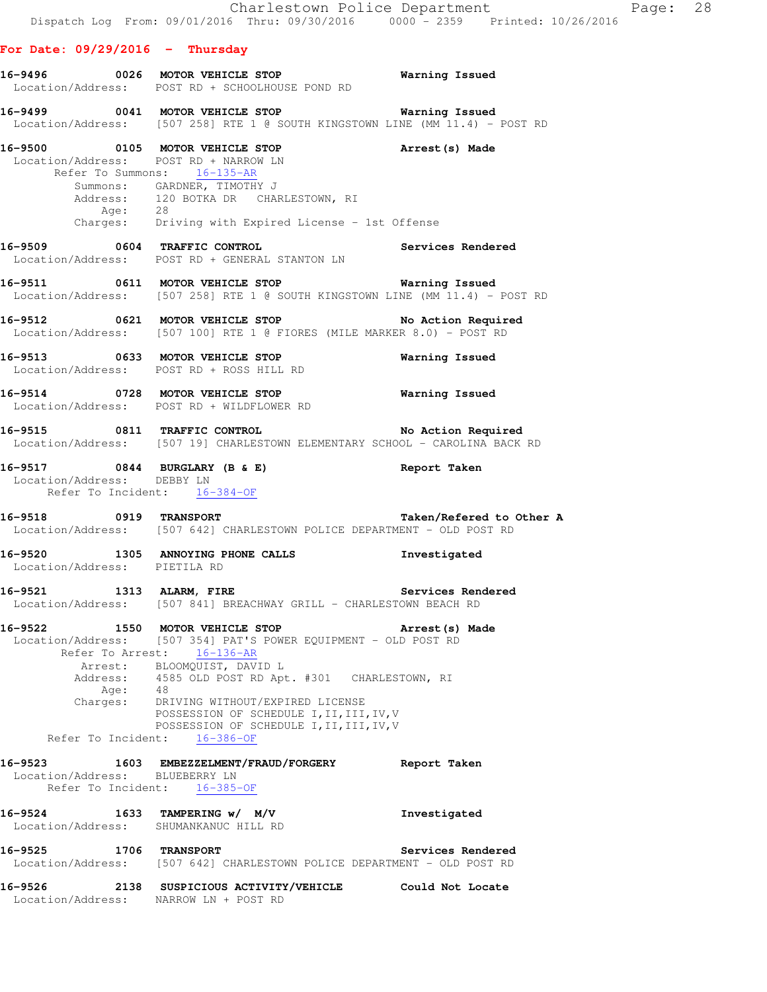#### **For Date: 09/29/2016 - Thursday**

Location/Address: NARROW LN + POST RD

|                                | 16-9496 0026 MOTOR VEHICLE STOP<br>Location/Address: POST RD + SCHOOLHOUSE POND RD                                                                                                                                                                                                                                                                                                            | Warning Issued           |
|--------------------------------|-----------------------------------------------------------------------------------------------------------------------------------------------------------------------------------------------------------------------------------------------------------------------------------------------------------------------------------------------------------------------------------------------|--------------------------|
|                                | 16-9499    0041 MOTOR VEHICLE STOP    VERTITING TESSUED<br>Location/Address: [507 258] RTE 1 @ SOUTH KINGSTOWN LINE (MM 11.4) - POST RD                                                                                                                                                                                                                                                       |                          |
|                                | 16-9500 0105 MOTOR VEHICLE STOP<br>Location/Address: POST RD + NARROW LN<br>Refer To Summons: 16-135-AR<br>Summons: GARDNER, TIMOTHY J<br>Address: 120 BOTKA DR CHARLESTOWN, RI<br>Age: 28<br>Charges: Driving with Expired License - 1st Offense                                                                                                                                             | Arrest (s) Made          |
|                                | 16-9509 0604 TRAFFIC CONTROL 16-9509 Services Rendered<br>Location/Address: POST RD + GENERAL STANTON LN                                                                                                                                                                                                                                                                                      |                          |
|                                | 16-9511 0611 MOTOR VEHICLE STOP Warning Issued<br>Location/Address: [507 258] RTE 1 @ SOUTH KINGSTOWN LINE (MM 11.4) - POST RD                                                                                                                                                                                                                                                                |                          |
|                                | 16-9512 0621 MOTOR VEHICLE STOP No Action Required<br>Location/Address: [507 100] RTE 1 @ FIORES (MILE MARKER 8.0) - POST RD                                                                                                                                                                                                                                                                  |                          |
|                                | 16-9513 0633 MOTOR VEHICLE STOP<br>Location/Address: POST RD + ROSS HILL RD                                                                                                                                                                                                                                                                                                                   | <b>Warning Issued</b>    |
|                                | 16-9514 0728 MOTOR VEHICLE STOP Warning Issued<br>Location/Address: POST RD + WILDFLOWER RD                                                                                                                                                                                                                                                                                                   |                          |
|                                | 16-9515 0811 TRAFFIC CONTROL<br>Location/Address: [507 19] CHARLESTOWN ELEMENTARY SCHOOL - CAROLINA BACK RD                                                                                                                                                                                                                                                                                   | No Action Required       |
|                                | 16-9517 0844 BURGLARY (B & E) Report Taken<br>Location/Address: DEBBY LN<br>Refer To Incident: 16-384-OF                                                                                                                                                                                                                                                                                      |                          |
|                                | 16-9518 0919 TRANSPORT<br>Location/Address: [507 642] CHARLESTOWN POLICE DEPARTMENT - OLD POST RD                                                                                                                                                                                                                                                                                             | Taken/Refered to Other A |
| Location/Address: PIETILA RD   | 16-9520 1305 ANNOYING PHONE CALLS                                                                                                                                                                                                                                                                                                                                                             | Investigated             |
|                                | 16-9521 1313 ALARM, FIRE 2008 Services Rendered<br>Location/Address: [507 841] BREACHWAY GRILL - CHARLESTOWN BEACH RD                                                                                                                                                                                                                                                                         |                          |
| 16-9522                        | 1550 MOTOR VEHICLE STOP<br>Location/Address: [507 354] PAT'S POWER EQUIPMENT - OLD POST RD<br>Refer To Arrest: 16-136-AR<br>Arrest: BLOOMQUIST, DAVID L<br>Address: 4585 OLD POST RD Apt. #301 CHARLESTOWN, RI<br>Age: 48<br>Charges: DRIVING WITHOUT/EXPIRED LICENSE<br>POSSESSION OF SCHEDULE I, II, III, IV, V<br>POSSESSION OF SCHEDULE I, II, III, IV, V<br>Refer To Incident: 16-386-OF | Arrest (s) Made          |
| Location/Address: BLUEBERRY LN | 16-9523 1603 EMBEZZELMENT/FRAUD/FORGERY<br>Refer To Incident: 16-385-OF                                                                                                                                                                                                                                                                                                                       | Report Taken             |
| 16-9524                        | 1633 TAMPERING w/ M/V<br>Location/Address: SHUMANKANUC HILL RD                                                                                                                                                                                                                                                                                                                                | Investigated             |
| 16-9525 1706 TRANSPORT         | Location/Address: [507 642] CHARLESTOWN POLICE DEPARTMENT - OLD POST RD                                                                                                                                                                                                                                                                                                                       | Services Rendered        |
| 16-9526                        | 2138 SUSPICIOUS ACTIVITY/VEHICLE Could Not Locate                                                                                                                                                                                                                                                                                                                                             |                          |